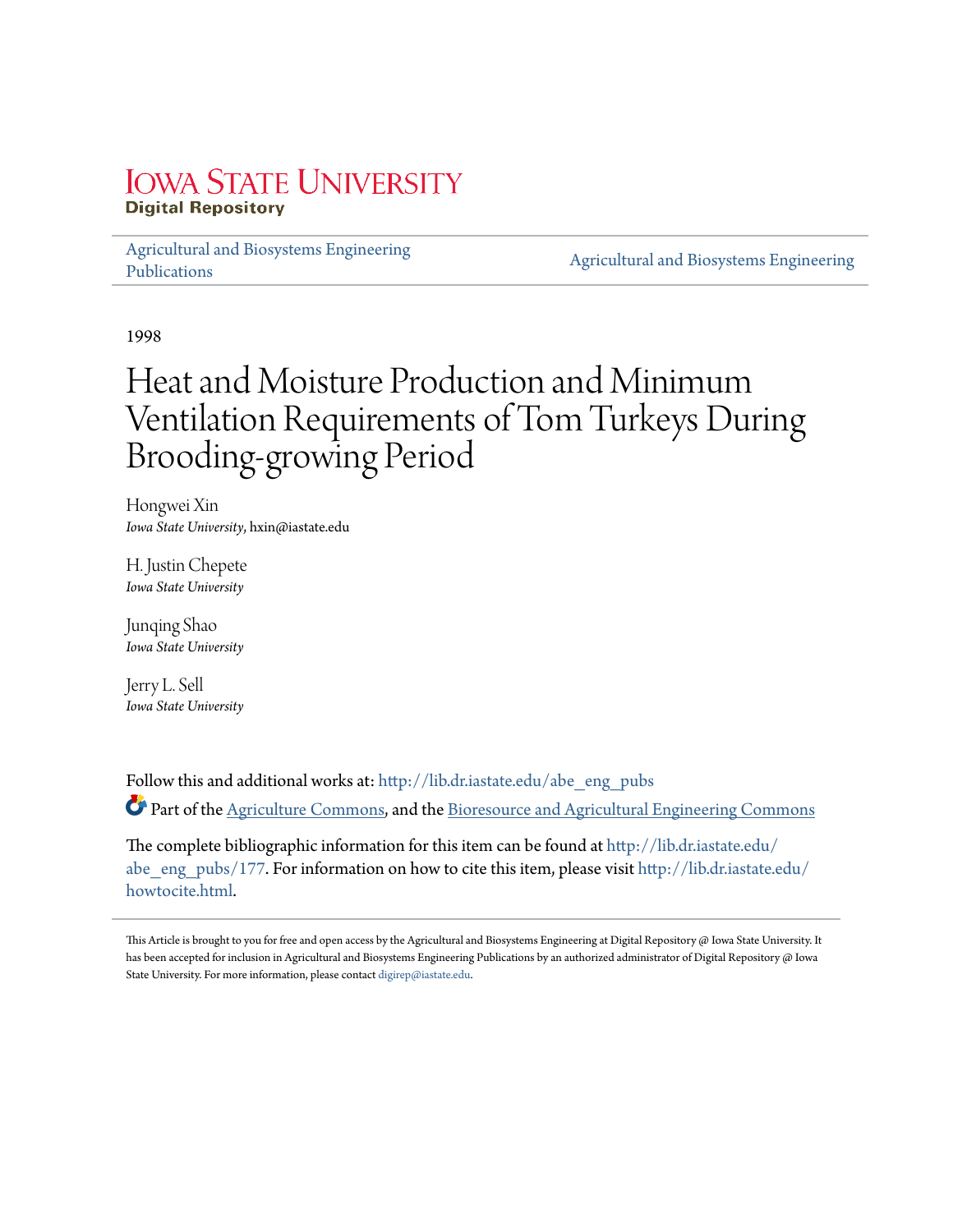# **IOWA STATE UNIVERSITY Digital Repository**

[Agricultural and Biosystems Engineering](http://lib.dr.iastate.edu/abe_eng_pubs?utm_source=lib.dr.iastate.edu%2Fabe_eng_pubs%2F177&utm_medium=PDF&utm_campaign=PDFCoverPages) [Publications](http://lib.dr.iastate.edu/abe_eng_pubs?utm_source=lib.dr.iastate.edu%2Fabe_eng_pubs%2F177&utm_medium=PDF&utm_campaign=PDFCoverPages)

[Agricultural and Biosystems Engineering](http://lib.dr.iastate.edu/abe_eng?utm_source=lib.dr.iastate.edu%2Fabe_eng_pubs%2F177&utm_medium=PDF&utm_campaign=PDFCoverPages)

1998

# Heat and Moisture Production and Minimum Ventilation Requirements of Tom Turkeys During Brooding-growing Period

Hongwei Xin *Iowa State University*, hxin@iastate.edu

H. Justin Chepete *Iowa State University*

Junqing Shao *Iowa State University*

Jerry L. Sell *Iowa State University*

Follow this and additional works at: [http://lib.dr.iastate.edu/abe\\_eng\\_pubs](http://lib.dr.iastate.edu/abe_eng_pubs?utm_source=lib.dr.iastate.edu%2Fabe_eng_pubs%2F177&utm_medium=PDF&utm_campaign=PDFCoverPages) Part of the [Agriculture Commons](http://network.bepress.com/hgg/discipline/1076?utm_source=lib.dr.iastate.edu%2Fabe_eng_pubs%2F177&utm_medium=PDF&utm_campaign=PDFCoverPages), and the [Bioresource and Agricultural Engineering Commons](http://network.bepress.com/hgg/discipline/1056?utm_source=lib.dr.iastate.edu%2Fabe_eng_pubs%2F177&utm_medium=PDF&utm_campaign=PDFCoverPages)

The complete bibliographic information for this item can be found at [http://lib.dr.iastate.edu/](http://lib.dr.iastate.edu/abe_eng_pubs/177) [abe\\_eng\\_pubs/177](http://lib.dr.iastate.edu/abe_eng_pubs/177). For information on how to cite this item, please visit [http://lib.dr.iastate.edu/](http://lib.dr.iastate.edu/howtocite.html) [howtocite.html.](http://lib.dr.iastate.edu/howtocite.html)

This Article is brought to you for free and open access by the Agricultural and Biosystems Engineering at Digital Repository @ Iowa State University. It has been accepted for inclusion in Agricultural and Biosystems Engineering Publications by an authorized administrator of Digital Repository @ Iowa State University. For more information, please contact [digirep@iastate.edu](mailto:digirep@iastate.edu).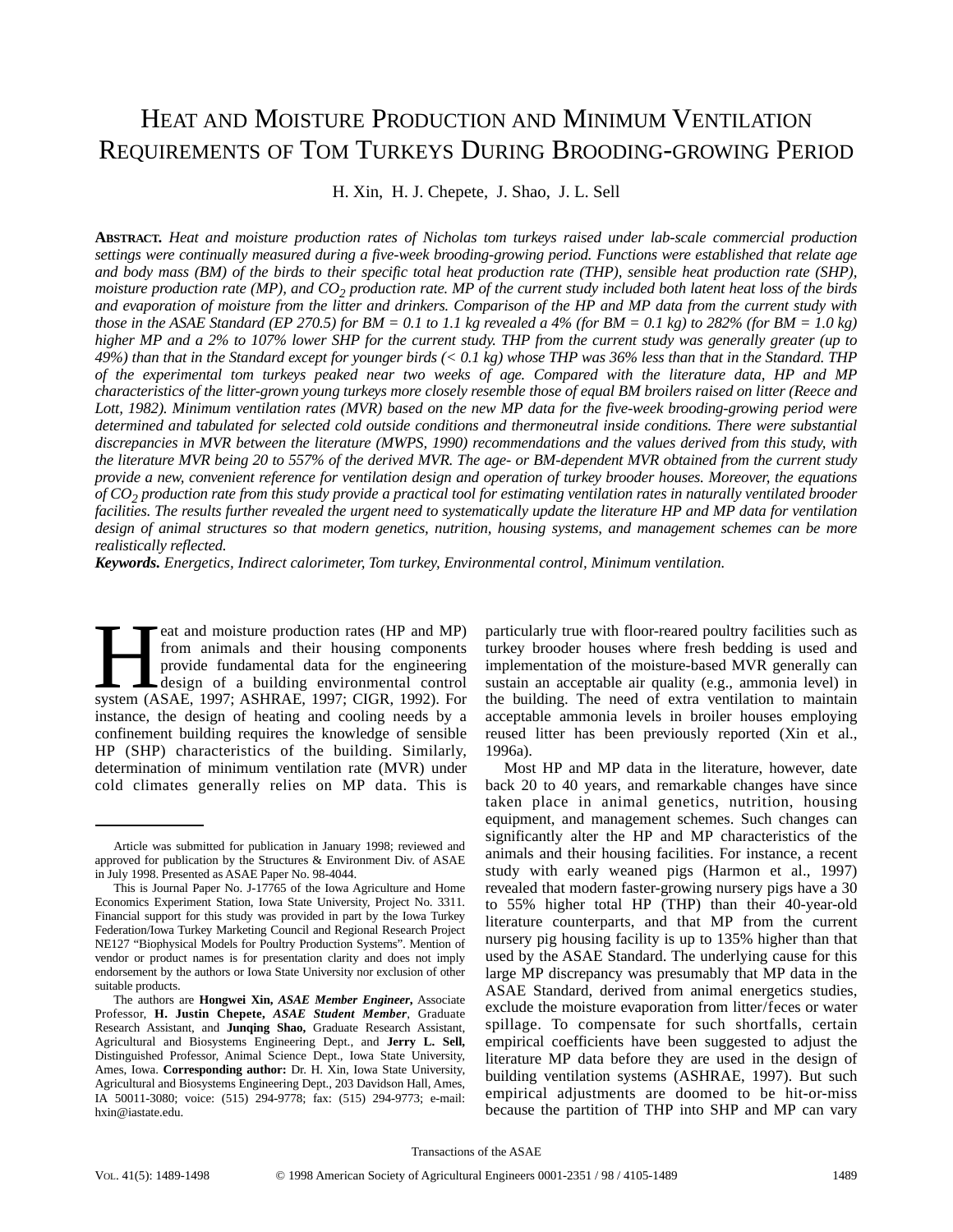# HEAT AND MOISTURE PRODUCTION AND MINIMUM VENTILATION REQUIREMENTS OF TOM TURKEYS DURING BROODING-GROWING PERIOD

H. Xin, H. J. Chepete, J. Shao, J. L. Sell

**ABSTRACT.** *Heat and moisture production rates of Nicholas tom turkeys raised under lab-scale commercial production settings were continually measured during a five-week brooding-growing period. Functions were established that relate age and body mass (BM) of the birds to their specific total heat production rate (THP), sensible heat production rate (SHP), moisture production rate (MP), and CO2 production rate. MP of the current study included both latent heat loss of the birds and evaporation of moisture from the litter and drinkers. Comparison of the HP and MP data from the current study with those in the ASAE Standard (EP 270.5) for BM = 0.1 to 1.1 kg revealed a 4% (for BM = 0.1 kg) to 282% (for BM = 1.0 kg) higher MP and a 2% to 107% lower SHP for the current study. THP from the current study was generally greater (up to 49%) than that in the Standard except for younger birds (< 0.1 kg) whose THP was 36% less than that in the Standard. THP of the experimental tom turkeys peaked near two weeks of age. Compared with the literature data, HP and MP characteristics of the litter-grown young turkeys more closely resemble those of equal BM broilers raised on litter (Reece and Lott, 1982). Minimum ventilation rates (MVR) based on the new MP data for the five-week brooding-growing period were determined and tabulated for selected cold outside conditions and thermoneutral inside conditions. There were substantial discrepancies in MVR between the literature (MWPS, 1990) recommendations and the values derived from this study, with the literature MVR being 20 to 557% of the derived MVR. The age- or BM-dependent MVR obtained from the current study provide a new, convenient reference for ventilation design and operation of turkey brooder houses. Moreover, the equations of CO2 production rate from this study provide a practical tool for estimating ventilation rates in naturally ventilated brooder facilities. The results further revealed the urgent need to systematically update the literature HP and MP data for ventilation design of animal structures so that modern genetics, nutrition, housing systems, and management schemes can be more realistically reflected.*

*Keywords. Energetics, Indirect calorimeter, Tom turkey, Environmental control, Minimum ventilation.*

eat and moisture production rates (HP and MP)<br>from animals and their housing components<br>provide fundamental data for the engineering<br>design of a building environmental control<br>system (ASAE, 1997; ASHRAE, 1997; CIGR, 1992). from animals and their housing components provide fundamental data for the engineering design of a building environmental control instance, the design of heating and cooling needs by a confinement building requires the knowledge of sensible HP (SHP) characteristics of the building. Similarly, determination of minimum ventilation rate (MVR) under cold climates generally relies on MP data. This is

particularly true with floor-reared poultry facilities such as turkey brooder houses where fresh bedding is used and implementation of the moisture-based MVR generally can sustain an acceptable air quality (e.g., ammonia level) in the building. The need of extra ventilation to maintain acceptable ammonia levels in broiler houses employing reused litter has been previously reported (Xin et al., 1996a).

Most HP and MP data in the literature, however, date back 20 to 40 years, and remarkable changes have since taken place in animal genetics, nutrition, housing equipment, and management schemes. Such changes can significantly alter the HP and MP characteristics of the animals and their housing facilities. For instance, a recent study with early weaned pigs (Harmon et al., 1997) revealed that modern faster-growing nursery pigs have a 30 to 55% higher total HP (THP) than their 40-year-old literature counterparts, and that MP from the current nursery pig housing facility is up to 135% higher than that used by the ASAE Standard. The underlying cause for this large MP discrepancy was presumably that MP data in the ASAE Standard, derived from animal energetics studies, exclude the moisture evaporation from litter/feces or water spillage. To compensate for such shortfalls, certain empirical coefficients have been suggested to adjust the literature MP data before they are used in the design of building ventilation systems (ASHRAE, 1997). But such empirical adjustments are doomed to be hit-or-miss because the partition of THP into SHP and MP can vary

Article was submitted for publication in January 1998; reviewed and approved for publication by the Structures & Environment Div. of ASAE in July 1998. Presented as ASAE Paper No. 98-4044.

This is Journal Paper No. J-17765 of the Iowa Agriculture and Home Economics Experiment Station, Iowa State University, Project No. 3311. Financial support for this study was provided in part by the Iowa Turkey Federation/Iowa Turkey Marketing Council and Regional Research Project NE127 "Biophysical Models for Poultry Production Systems". Mention of vendor or product names is for presentation clarity and does not imply endorsement by the authors or Iowa State University nor exclusion of other suitable products.

The authors are **Hongwei Xin,** *ASAE Member Engineer***,** Associate Professor, **H. Justin Chepete,** *ASAE Student Member*, Graduate Research Assistant, and **Junqing Shao,** Graduate Research Assistant, Agricultural and Biosystems Engineering Dept., and **Jerry L. Sell,** Distinguished Professor, Animal Science Dept., Iowa State University, Ames, Iowa. **Corresponding author:** Dr. H. Xin, Iowa State University, Agricultural and Biosystems Engineering Dept., 203 Davidson Hall, Ames, IA 50011-3080; voice: (515) 294-9778; fax: (515) 294-9773; e-mail: hxin@iastate.edu.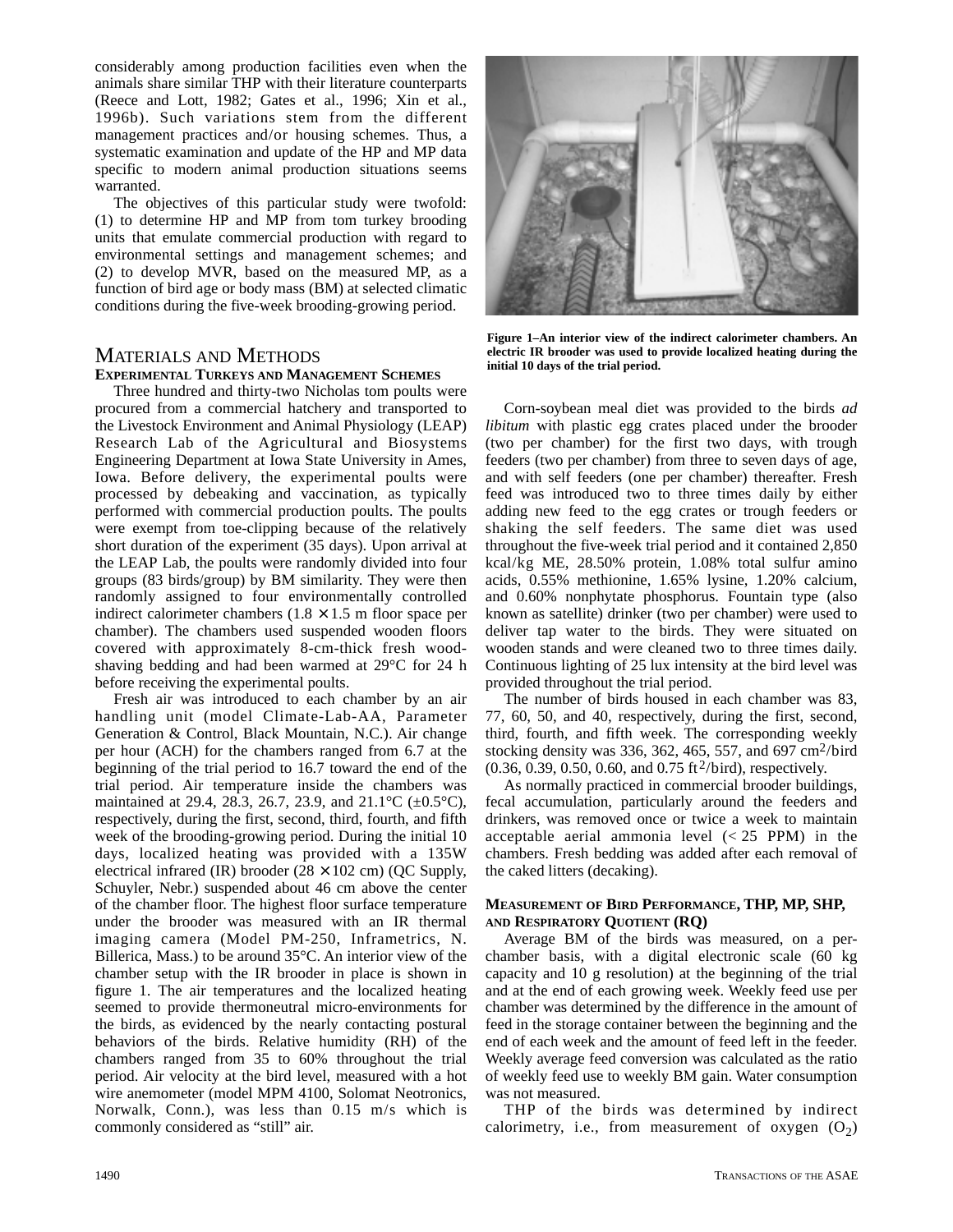considerably among production facilities even when the animals share similar THP with their literature counterparts (Reece and Lott, 1982; Gates et al., 1996; Xin et al., 1996b). Such variations stem from the different management practices and/or housing schemes. Thus, a systematic examination and update of the HP and MP data specific to modern animal production situations seems warranted.

The objectives of this particular study were twofold: (1) to determine HP and MP from tom turkey brooding units that emulate commercial production with regard to environmental settings and management schemes; and (2) to develop MVR, based on the measured MP, as a function of bird age or body mass (BM) at selected climatic conditions during the five-week brooding-growing period.

# MATERIALS AND METHODS **EXPERIMENTAL TURKEYS AND MANAGEMENT SCHEMES**

Three hundred and thirty-two Nicholas tom poults were procured from a commercial hatchery and transported to the Livestock Environment and Animal Physiology (LEAP) Research Lab of the Agricultural and Biosystems Engineering Department at Iowa State University in Ames, Iowa. Before delivery, the experimental poults were processed by debeaking and vaccination, as typically performed with commercial production poults. The poults were exempt from toe-clipping because of the relatively short duration of the experiment (35 days). Upon arrival at the LEAP Lab, the poults were randomly divided into four groups (83 birds/group) by BM similarity. They were then randomly assigned to four environmentally controlled indirect calorimeter chambers  $(1.8 \times 1.5 \text{ m}$  floor space per chamber). The chambers used suspended wooden floors covered with approximately 8-cm-thick fresh woodshaving bedding and had been warmed at 29°C for 24 h before receiving the experimental poults.

Fresh air was introduced to each chamber by an air handling unit (model Climate-Lab-AA, Parameter Generation & Control, Black Mountain, N.C.). Air change per hour (ACH) for the chambers ranged from 6.7 at the beginning of the trial period to 16.7 toward the end of the trial period. Air temperature inside the chambers was maintained at 29.4, 28.3, 26.7, 23.9, and  $21.1^{\circ}$ C ( $\pm$ 0.5°C), respectively, during the first, second, third, fourth, and fifth week of the brooding-growing period. During the initial 10 days, localized heating was provided with a 135W electrical infrared (IR) brooder  $(28 \times 102 \text{ cm})$  (QC Supply, Schuyler, Nebr.) suspended about 46 cm above the center of the chamber floor. The highest floor surface temperature under the brooder was measured with an IR thermal imaging camera (Model PM-250, Inframetrics, N. Billerica, Mass.) to be around 35°C. An interior view of the chamber setup with the IR brooder in place is shown in figure 1. The air temperatures and the localized heating seemed to provide thermoneutral micro-environments for the birds, as evidenced by the nearly contacting postural behaviors of the birds. Relative humidity (RH) of the chambers ranged from 35 to 60% throughout the trial period. Air velocity at the bird level, measured with a hot wire anemometer (model MPM 4100, Solomat Neotronics, Norwalk, Conn.), was less than 0.15 m/s which is commonly considered as "still" air.



**Figure 1–An interior view of the indirect calorimeter chambers. An electric IR brooder was used to provide localized heating during the initial 10 days of the trial period.**

Corn-soybean meal diet was provided to the birds *ad libitum* with plastic egg crates placed under the brooder (two per chamber) for the first two days, with trough feeders (two per chamber) from three to seven days of age, and with self feeders (one per chamber) thereafter. Fresh feed was introduced two to three times daily by either adding new feed to the egg crates or trough feeders or shaking the self feeders. The same diet was used throughout the five-week trial period and it contained 2,850 kcal/kg ME, 28.50% protein, 1.08% total sulfur amino acids, 0.55% methionine, 1.65% lysine, 1.20% calcium, and 0.60% nonphytate phosphorus. Fountain type (also known as satellite) drinker (two per chamber) were used to deliver tap water to the birds. They were situated on wooden stands and were cleaned two to three times daily. Continuous lighting of 25 lux intensity at the bird level was provided throughout the trial period.

The number of birds housed in each chamber was 83, 77, 60, 50, and 40, respectively, during the first, second, third, fourth, and fifth week. The corresponding weekly stocking density was 336, 362, 465, 557, and 697  $\text{cm}^2/\text{bird}$  $(0.36, 0.39, 0.50, 0.60, \text{ and } 0.75 \text{ ft}^2/\text{bird})$ , respectively.

As normally practiced in commercial brooder buildings, fecal accumulation, particularly around the feeders and drinkers, was removed once or twice a week to maintain acceptable aerial ammonia level  $(< 25$  PPM) in the chambers. Fresh bedding was added after each removal of the caked litters (decaking).

### **MEASUREMENT OF BIRD PERFORMANCE, THP, MP, SHP, AND RESPIRATORY QUOTIENT (RQ)**

Average BM of the birds was measured, on a perchamber basis, with a digital electronic scale (60 kg capacity and 10 g resolution) at the beginning of the trial and at the end of each growing week. Weekly feed use per chamber was determined by the difference in the amount of feed in the storage container between the beginning and the end of each week and the amount of feed left in the feeder. Weekly average feed conversion was calculated as the ratio of weekly feed use to weekly BM gain. Water consumption was not measured.

THP of the birds was determined by indirect calorimetry, i.e., from measurement of oxygen  $(O_2)$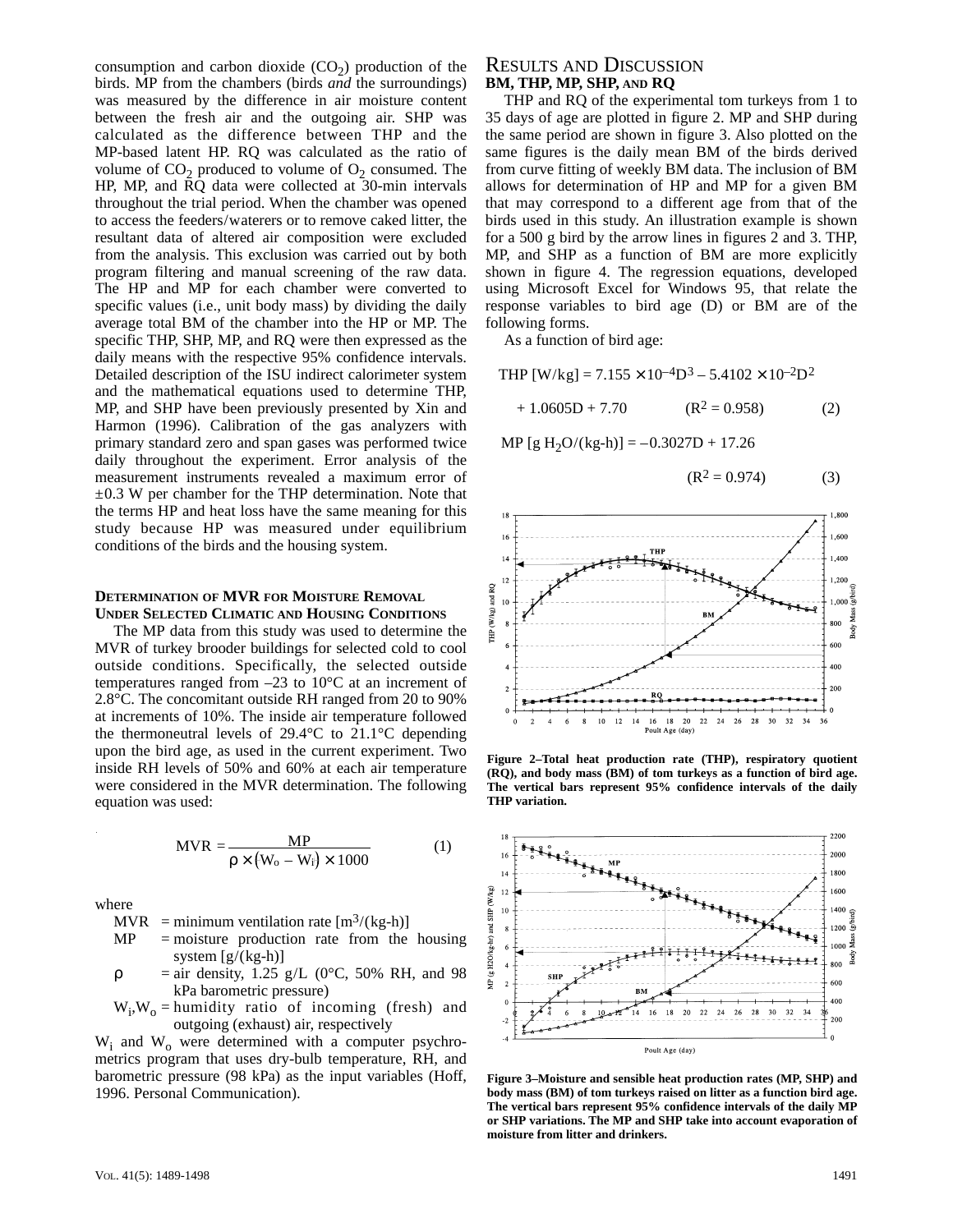consumption and carbon dioxide  $(CO<sub>2</sub>)$  production of the birds. MP from the chambers (birds *and* the surroundings) was measured by the difference in air moisture content between the fresh air and the outgoing air. SHP was calculated as the difference between THP and the MP-based latent HP. RQ was calculated as the ratio of volume of  $CO<sub>2</sub>$  produced to volume of  $O<sub>2</sub>$  consumed. The HP, MP, and RQ data were collected at 30-min intervals throughout the trial period. When the chamber was opened to access the feeders/waterers or to remove caked litter, the resultant data of altered air composition were excluded from the analysis. This exclusion was carried out by both program filtering and manual screening of the raw data. The HP and MP for each chamber were converted to specific values (i.e., unit body mass) by dividing the daily average total BM of the chamber into the HP or MP. The specific THP, SHP, MP, and RQ were then expressed as the daily means with the respective 95% confidence intervals. Detailed description of the ISU indirect calorimeter system and the mathematical equations used to determine THP, MP, and SHP have been previously presented by Xin and Harmon (1996). Calibration of the gas analyzers with primary standard zero and span gases was performed twice daily throughout the experiment. Error analysis of the measurement instruments revealed a maximum error of  $\pm 0.3$  W per chamber for the THP determination. Note that the terms HP and heat loss have the same meaning for this study because HP was measured under equilibrium conditions of the birds and the housing system.

#### **DETERMINATION OF MVR FOR MOISTURE REMOVAL UNDER SELECTED CLIMATIC AND HOUSING CONDITIONS**

The MP data from this study was used to determine the MVR of turkey brooder buildings for selected cold to cool outside conditions. Specifically, the selected outside temperatures ranged from –23 to 10°C at an increment of 2.8°C. The concomitant outside RH ranged from 20 to 90% at increments of 10%. The inside air temperature followed the thermoneutral levels of 29.4°C to 21.1°C depending upon the bird age, as used in the current experiment. Two inside RH levels of 50% and 60% at each air temperature were considered in the MVR determination. The following equation was used:

$$
MVR = \frac{MP}{\rho \times (W_0 - W_i) \times 1000}
$$
 (1)

where

MVR = minimum ventilation rate  $[m<sup>3</sup>/(kg-h)]$ 

- $MP$  = moisture production rate from the housing system  $[g/(kg-h)]$
- $\rho$  = air density, 1.25 g/L (0°C, 50% RH, and 98 kPa barometric pressure)
- $W_i$ ,  $W_o$  = humidity ratio of incoming (fresh) and outgoing (exhaust) air, respectively

 $W_i$  and  $W_o$  were determined with a computer psychrometrics program that uses dry-bulb temperature, RH, and barometric pressure (98 kPa) as the input variables (Hoff, 1996. Personal Communication).

# RESULTS AND DISCUSSION **BM, THP, MP, SHP, AND RQ**

THP and RQ of the experimental tom turkeys from 1 to 35 days of age are plotted in figure 2. MP and SHP during the same period are shown in figure 3. Also plotted on the same figures is the daily mean BM of the birds derived from curve fitting of weekly BM data. The inclusion of BM allows for determination of HP and MP for a given BM that may correspond to a different age from that of the birds used in this study. An illustration example is shown for a 500 g bird by the arrow lines in figures 2 and 3. THP, MP, and SHP as a function of BM are more explicitly shown in figure 4. The regression equations, developed using Microsoft Excel for Windows 95, that relate the response variables to bird age (D) or BM are of the following forms.

As a function of bird age:

THP  $[W/kg] = 7.155 \times 10^{-4}D^3 - 5.4102 \times 10^{-2}D^2$ 

 $+ 1.0605D + 7.70$  (R<sup>2</sup> = 0.958) (2)

MP  $[g H_2O/(kg-h)] = -0.3027D + 17.26$ 

$$
(R^2 = 0.974) \tag{3}
$$



**Figure 2–Total heat production rate (THP), respiratory quotient (RQ), and body mass (BM) of tom turkeys as a function of bird age. The vertical bars represent 95% confidence intervals of the daily THP variation.**



**Figure 3–Moisture and sensible heat production rates (MP, SHP) and body mass (BM) of tom turkeys raised on litter as a function bird age. The vertical bars represent 95% confidence intervals of the daily MP or SHP variations. The MP and SHP take into account evaporation of moisture from litter and drinkers.**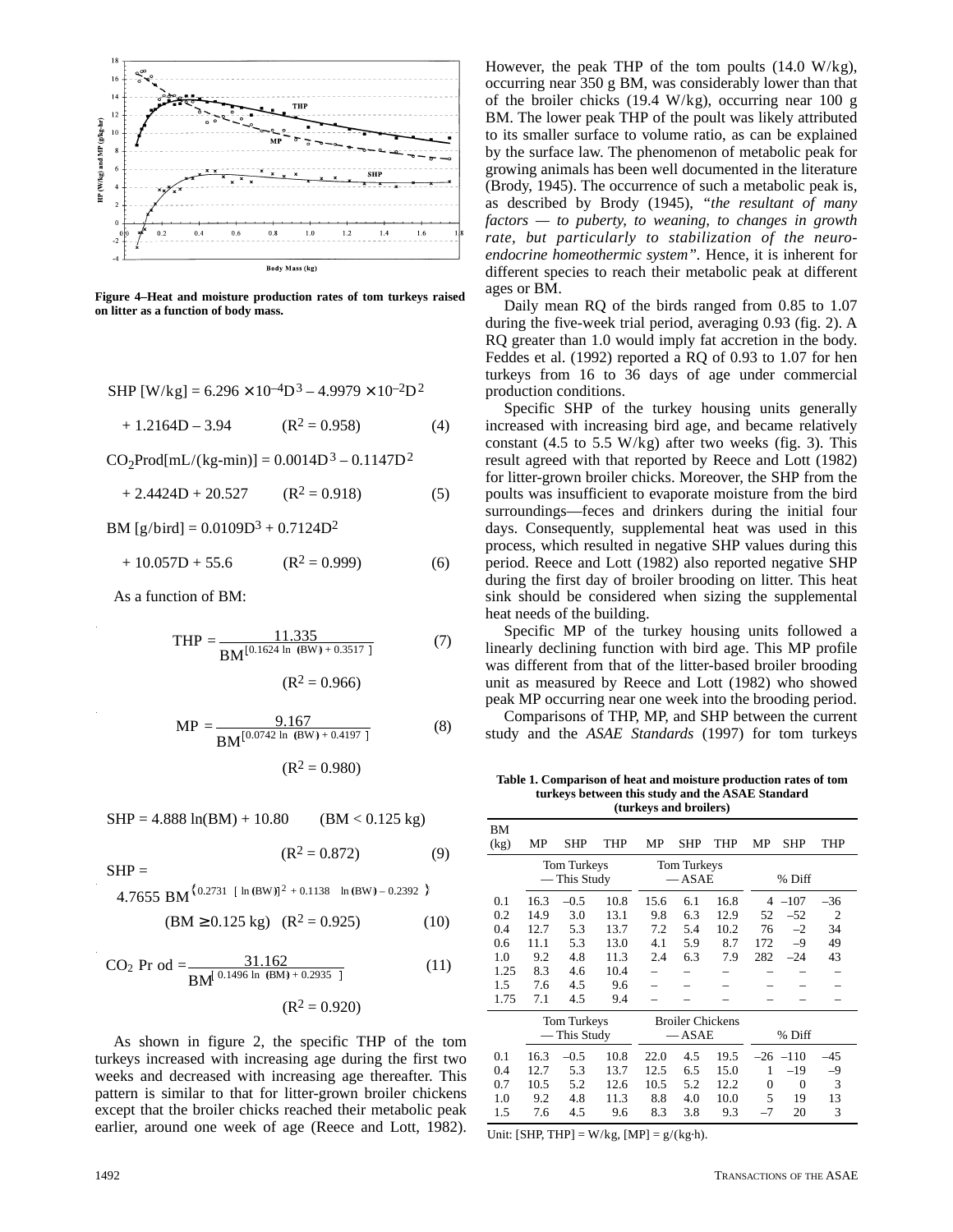

**Figure 4–Heat and moisture production rates of tom turkeys raised on litter as a function of body mass.**

SHP [W/kg] = 
$$
6.296 \times 10^{-4}D^3 - 4.9979 \times 10^{-2}D^2
$$

 $+ 1.2164D - 3.94$  (R<sup>2</sup> = 0.958) (4)

 $CO_2$ Prod[mL/(kg-min)] = 0.0014D<sup>3</sup> – 0.1147D<sup>2</sup>

$$
+ 2.4424D + 20.527 \qquad (R^2 = 0.918)
$$
 (5)

BM  $[g/bird] = 0.0109D^3 + 0.7124D^2$ 

$$
+ 10.057D + 55.6 \t\t (R2 = 0.999)
$$
\t(6)

As a function of BM:

$$
THP = \frac{11.335}{BM^{[0.1624 \text{ ln (BW)} + 0.3517]}}
$$
(7)

$$
(R^2=0.966)
$$

$$
MP = \frac{9.167}{BM^{[0.0742 \ln (BW) + 0.4197]}}
$$
(8)  
( $R^2 = 0.980$ )

$$
f_{\rm{max}}
$$

$$
SHP = 4.888 \ln(BM) + 10.80 \qquad (BM < 0.125 \text{ kg})
$$

$$
(R^2 = 0.872) \tag{9}
$$

 $SHP =$ 

 $4.7655$  BM<sup>{0.2731</sup> [ ln (BW)]<sup>2</sup> + 0.1138 ln (BW) – 0.2392 }

$$
(BM \ge 0.125 \text{ kg}) \quad (R^2 = 0.925) \tag{10}
$$

$$
CO2 Pr od = \frac{31.162}{BM^{0.1496 \ln (BM) + 0.2935}}
$$
 (11)  
(R<sup>2</sup> = 0.920)

As shown in figure 2, the specific THP of the tom turkeys increased with increasing age during the first two weeks and decreased with increasing age thereafter. This pattern is similar to that for litter-grown broiler chickens except that the broiler chicks reached their metabolic peak earlier, around one week of age (Reece and Lott, 1982).

However, the peak THP of the tom poults  $(14.0 \text{ W/kg})$ , occurring near 350 g BM, was considerably lower than that of the broiler chicks  $(19.4 \text{ W/kg})$ , occurring near 100 g BM. The lower peak THP of the poult was likely attributed to its smaller surface to volume ratio, as can be explained by the surface law. The phenomenon of metabolic peak for growing animals has been well documented in the literature (Brody, 1945). The occurrence of such a metabolic peak is, as described by Brody (1945), *"the resultant of many factors — to puberty, to weaning, to changes in growth rate, but particularly to stabilization of the neuroendocrine homeothermic system".* Hence, it is inherent for different species to reach their metabolic peak at different ages or BM.

Daily mean RQ of the birds ranged from 0.85 to 1.07 during the five-week trial period, averaging 0.93 (fig. 2). A RQ greater than 1.0 would imply fat accretion in the body. Feddes et al. (1992) reported a RQ of 0.93 to 1.07 for hen turkeys from 16 to 36 days of age under commercial production conditions.

Specific SHP of the turkey housing units generally increased with increasing bird age, and became relatively constant  $(4.5 \text{ to } 5.5 \text{ W/kg})$  after two weeks (fig. 3). This result agreed with that reported by Reece and Lott (1982) for litter-grown broiler chicks. Moreover, the SHP from the poults was insufficient to evaporate moisture from the bird surroundings—feces and drinkers during the initial four days. Consequently, supplemental heat was used in this process, which resulted in negative SHP values during this period. Reece and Lott (1982) also reported negative SHP during the first day of broiler brooding on litter. This heat sink should be considered when sizing the supplemental heat needs of the building.

Specific MP of the turkey housing units followed a linearly declining function with bird age. This MP profile was different from that of the litter-based broiler brooding unit as measured by Reece and Lott (1982) who showed peak MP occurring near one week into the brooding period.

Comparisons of THP, MP, and SHP between the current study and the *ASAE Standards* (1997) for tom turkeys

**Table 1. Comparison of heat and moisture production rates of tom turkeys between this study and the ASAE Standard (turkeys and broilers)** 

| BМ<br>(kg) | MP                          | <b>SHP</b>   | <b>THP</b> | MP   | <b>SHP</b>              | THP  | МP   | SHP        | THP   |  |  |  |
|------------|-----------------------------|--------------|------------|------|-------------------------|------|------|------------|-------|--|--|--|
|            | Tom Turkeys<br>— This Study |              |            |      | Tom Turkeys<br>$-$ ASAE |      |      | % Diff     |       |  |  |  |
| 0.1        | 16.3                        | $-0.5$       | 10.8       | 15.6 | 6.1                     | 16.8 | 4    | $-107$     | $-36$ |  |  |  |
| 0.2        | 14.9                        | 3.0          | 13.1       | 9.8  | 6.3                     | 12.9 | 52   | $-52$      | 2     |  |  |  |
| 0.4        | 12.7                        | 5.3          | 13.7       | 7.2  | 5.4                     | 10.2 | 76   | $-2$       | 34    |  |  |  |
| 0.6        | 11.1                        | 5.3          | 13.0       | 4.1  | 5.9                     | 8.7  | 172  | $-9$       | 49    |  |  |  |
| 1.0        | 9.2                         | 4.8          | 11.3       | 2.4  | 6.3                     | 7.9  | 282  | $-24$      | 43    |  |  |  |
| 1.25       | 8.3                         | 4.6          | 10.4       |      |                         |      |      |            |       |  |  |  |
| 1.5        | 7.6                         | 4.5          | 9.6        |      |                         |      |      |            |       |  |  |  |
| 1.75       | 7.1                         | 4.5          | 9.4        |      |                         |      |      |            |       |  |  |  |
|            |                             | Tom Turkeys  |            |      | <b>Broiler Chickens</b> |      |      |            |       |  |  |  |
|            |                             | — This Study |            |      | $-$ ASAE                |      |      | % Diff     |       |  |  |  |
| 0.1        | 16.3                        | $-0.5$       | 10.8       | 22.0 | 4.5                     | 19.5 |      | $-26 -110$ | -45   |  |  |  |
| 0.4        | 12.7                        | 5.3          | 13.7       | 12.5 | 6.5                     | 15.0 | 1    | $-19$      | $-9$  |  |  |  |
| 0.7        | 10.5                        | 5.2          | 12.6       | 10.5 | 5.2                     | 12.2 | 0    | $\theta$   | 3     |  |  |  |
| 1.0        | 9.2                         | 4.8          | 11.3       | 8.8  | 4.0                     | 10.0 | 5    | 19         | 13    |  |  |  |
| 1.5        | 7.6                         | 4.5          | 9.6        | 8.3  | 3.8                     | 9.3  | $-7$ | 20         | 3     |  |  |  |

Unit: [SHP, THP] =  $W/kg$ , [MP] =  $g/(kg \cdot h)$ .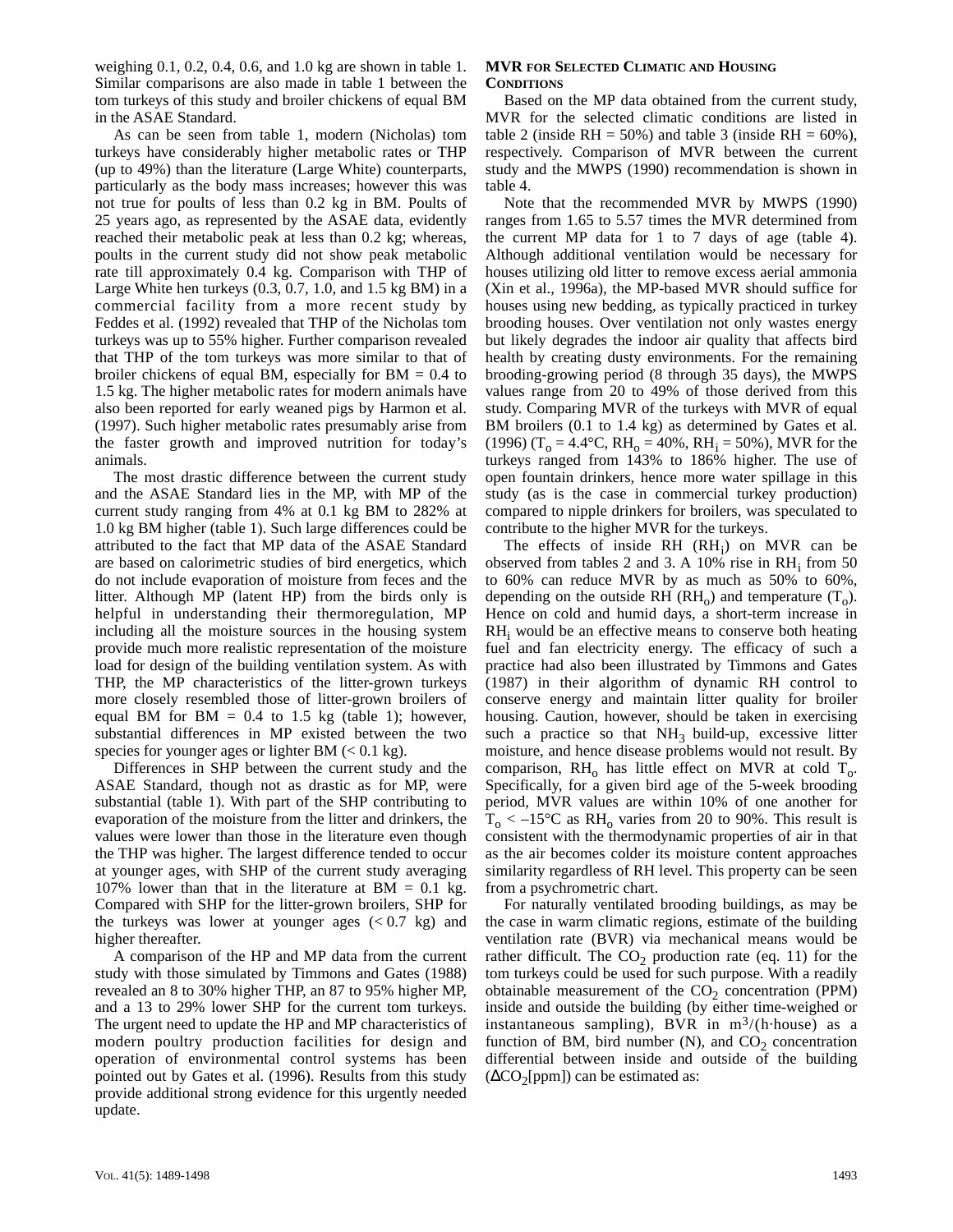weighing 0.1, 0.2, 0.4, 0.6, and 1.0 kg are shown in table 1. Similar comparisons are also made in table 1 between the tom turkeys of this study and broiler chickens of equal BM in the ASAE Standard.

As can be seen from table 1, modern (Nicholas) tom turkeys have considerably higher metabolic rates or THP (up to 49%) than the literature (Large White) counterparts, particularly as the body mass increases; however this was not true for poults of less than 0.2 kg in BM. Poults of 25 years ago, as represented by the ASAE data, evidently reached their metabolic peak at less than 0.2 kg; whereas, poults in the current study did not show peak metabolic rate till approximately 0.4 kg. Comparison with THP of Large White hen turkeys (0.3, 0.7, 1.0, and 1.5 kg BM) in a commercial facility from a more recent study by Feddes et al. (1992) revealed that THP of the Nicholas tom turkeys was up to 55% higher. Further comparison revealed that THP of the tom turkeys was more similar to that of broiler chickens of equal BM, especially for  $BM = 0.4$  to 1.5 kg. The higher metabolic rates for modern animals have also been reported for early weaned pigs by Harmon et al. (1997). Such higher metabolic rates presumably arise from the faster growth and improved nutrition for today's animals.

The most drastic difference between the current study and the ASAE Standard lies in the MP, with MP of the current study ranging from 4% at 0.1 kg BM to 282% at 1.0 kg BM higher (table 1). Such large differences could be attributed to the fact that MP data of the ASAE Standard are based on calorimetric studies of bird energetics, which do not include evaporation of moisture from feces and the litter. Although MP (latent HP) from the birds only is helpful in understanding their thermoregulation, MP including all the moisture sources in the housing system provide much more realistic representation of the moisture load for design of the building ventilation system. As with THP, the MP characteristics of the litter-grown turkeys more closely resembled those of litter-grown broilers of equal BM for BM =  $0.4$  to 1.5 kg (table 1); however, substantial differences in MP existed between the two species for younger ages or lighter BM  $(< 0.1 \text{ kg})$ .

Differences in SHP between the current study and the ASAE Standard, though not as drastic as for MP, were substantial (table 1). With part of the SHP contributing to evaporation of the moisture from the litter and drinkers, the values were lower than those in the literature even though the THP was higher. The largest difference tended to occur at younger ages, with SHP of the current study averaging 107% lower than that in the literature at BM =  $0.1 \text{ kg}$ . Compared with SHP for the litter-grown broilers, SHP for the turkeys was lower at younger ages  $( $0.7 \text{ kg}$ )$  and higher thereafter.

A comparison of the HP and MP data from the current study with those simulated by Timmons and Gates (1988) revealed an 8 to 30% higher THP, an 87 to 95% higher MP, and a 13 to 29% lower SHP for the current tom turkeys. The urgent need to update the HP and MP characteristics of modern poultry production facilities for design and operation of environmental control systems has been pointed out by Gates et al. (1996). Results from this study provide additional strong evidence for this urgently needed update.

#### **MVR FOR SELECTED CLIMATIC AND HOUSING CONDITIONS**

Based on the MP data obtained from the current study, MVR for the selected climatic conditions are listed in table 2 (inside RH =  $50\%$ ) and table 3 (inside RH =  $60\%$ ), respectively. Comparison of MVR between the current study and the MWPS (1990) recommendation is shown in table 4.

Note that the recommended MVR by MWPS (1990) ranges from 1.65 to 5.57 times the MVR determined from the current MP data for 1 to 7 days of age (table 4). Although additional ventilation would be necessary for houses utilizing old litter to remove excess aerial ammonia (Xin et al., 1996a), the MP-based MVR should suffice for houses using new bedding, as typically practiced in turkey brooding houses. Over ventilation not only wastes energy but likely degrades the indoor air quality that affects bird health by creating dusty environments. For the remaining brooding-growing period (8 through 35 days), the MWPS values range from 20 to 49% of those derived from this study. Comparing MVR of the turkeys with MVR of equal BM broilers  $(0.1 \text{ to } 1.4 \text{ kg})$  as determined by Gates et al. (1996) (T<sub>o</sub> = 4.4°C, RH<sub>o</sub> = 40%, RH<sub>i</sub> = 50%), MVR for the turkeys ranged from 143% to 186% higher. The use of open fountain drinkers, hence more water spillage in this study (as is the case in commercial turkey production) compared to nipple drinkers for broilers, was speculated to contribute to the higher MVR for the turkeys.

The effects of inside  $RH$   $(RH<sub>i</sub>)$  on MVR can be observed from tables 2 and 3. A 10% rise in  $RH_i$  from 50 to 60% can reduce MVR by as much as 50% to 60%, depending on the outside RH (RH<sub>o</sub>) and temperature  $(T_0)$ . Hence on cold and humid days, a short-term increase in  $RH<sub>i</sub>$  would be an effective means to conserve both heating fuel and fan electricity energy. The efficacy of such a practice had also been illustrated by Timmons and Gates (1987) in their algorithm of dynamic RH control to conserve energy and maintain litter quality for broiler housing. Caution, however, should be taken in exercising such a practice so that  $NH_3$  build-up, excessive litter moisture, and hence disease problems would not result. By comparison,  $RH_0$  has little effect on MVR at cold  $T_0$ . Specifically, for a given bird age of the 5-week brooding period, MVR values are within 10% of one another for  $T_0 < -15^{\circ}$ C as RH<sub>0</sub> varies from 20 to 90%. This result is consistent with the thermodynamic properties of air in that as the air becomes colder its moisture content approaches similarity regardless of RH level. This property can be seen from a psychrometric chart.

For naturally ventilated brooding buildings, as may be the case in warm climatic regions, estimate of the building ventilation rate (BVR) via mechanical means would be rather difficult. The  $CO<sub>2</sub>$  production rate (eq. 11) for the tom turkeys could be used for such purpose. With a readily obtainable measurement of the  $CO<sub>2</sub>$  concentration (PPM) inside and outside the building (by either time-weighed or instantaneous sampling), BVR in  $m^3/(h \cdot h \cdot \text{house})$  as a function of BM, bird number  $(N)$ , and  $CO<sub>2</sub>$  concentration differential between inside and outside of the building  $(\Delta CO_{2}[ppm])$  can be estimated as: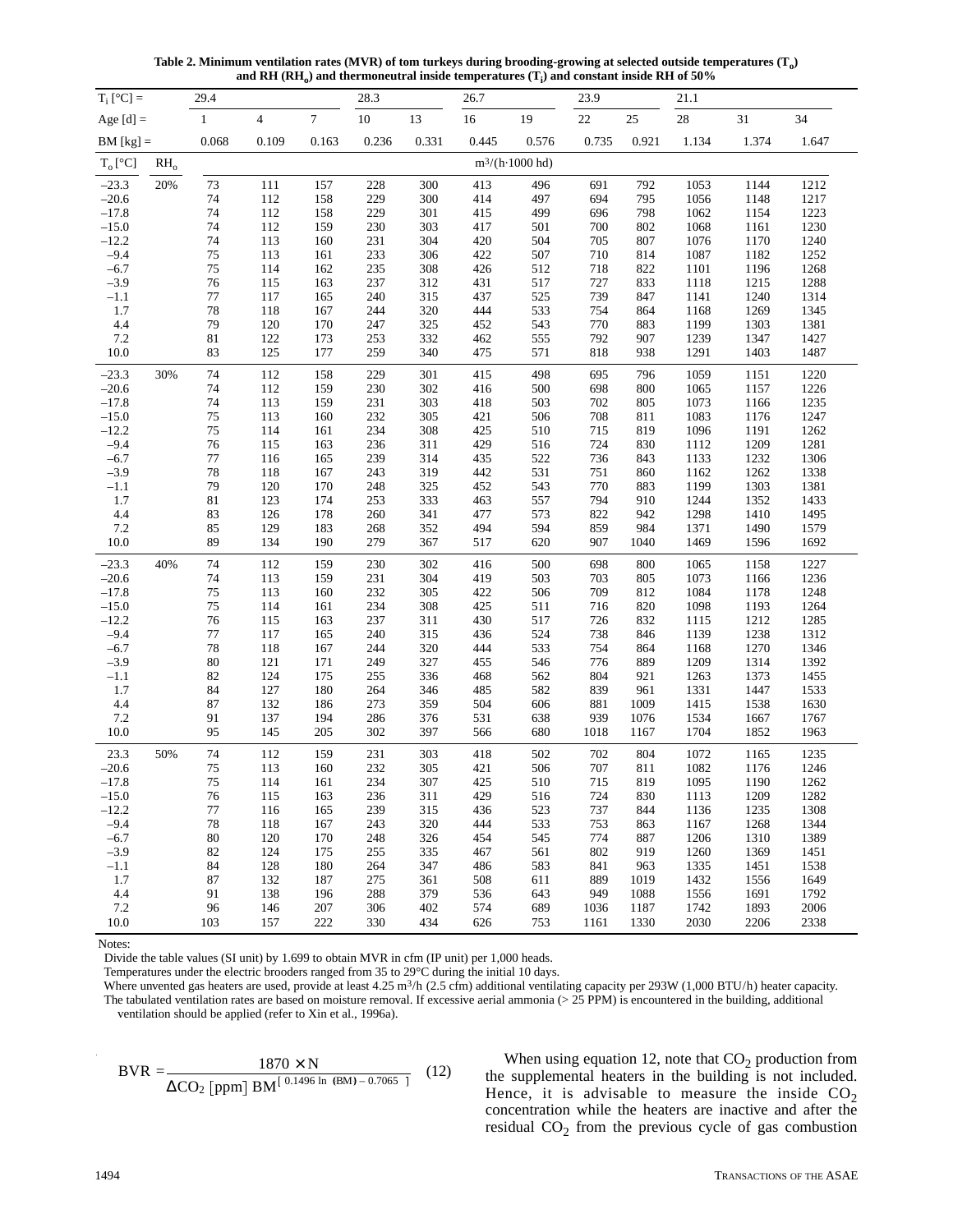**Table 2. Minimum ventilation rates (MVR) of tom turkeys during brooding-growing at selected outside temperatures (To)** and RH  $(\text{RH}_0)$  and thermoneutral inside temperatures  $(T_i)$  and constant inside RH of 50%

| $T_i$ [°C] =     |        | 29.4         |                |            | 28.3       |            | 26.7       |                         | 23.9       |            | 21.1         |              |              |
|------------------|--------|--------------|----------------|------------|------------|------------|------------|-------------------------|------------|------------|--------------|--------------|--------------|
| Age $[d]$ =      |        | $\mathbf{1}$ | $\overline{4}$ | $\tau$     | 10         | 13         | $16\,$     | 19                      | $22\,$     | 25         | 28           | 31           | 34           |
| $BM [kg] =$      |        | 0.068        | 0.109          | 0.163      | 0.236      | 0.331      | 0.445      | 0.576                   | 0.735      | 0.921      | 1.134        | 1.374        | 1.647        |
| $T_o[^{\circ}C]$ | $RH_0$ |              |                |            |            |            |            | $m^3/(h \cdot 1000$ hd) |            |            |              |              |              |
| $-23.3$          | 20%    | 73           | 111            | 157        | 228        | 300        | 413        | 496                     | 691        | 792        | 1053         | 1144         | 1212         |
| $-20.6$          |        | 74           | 112            | 158        | 229        | 300        | 414        | 497                     | 694        | 795        | 1056         | 1148         | 1217         |
| $-17.8$          |        | 74           | 112            | 158        | 229        | 301        | 415        | 499                     | 696        | 798        | 1062         | 1154         | 1223         |
| $-15.0$          |        | 74           | 112            | 159        | 230        | 303        | 417        | 501                     | 700        | 802        | 1068         | 1161         | 1230         |
| $-12.2$          |        | 74           | 113            | 160        | 231        | 304        | 420        | 504                     | 705        | 807        | 1076         | 1170         | 1240         |
| $-9.4$           |        | 75           | 113            | 161        | 233        | 306        | 422        | 507                     | 710        | 814        | 1087         | 1182         | 1252         |
| $-6.7$           |        | 75           | 114            | 162        | 235        | 308        | 426        | 512                     | 718        | 822        | 1101         | 1196         | 1268         |
| $-3.9$           |        | 76           | 115            | 163        | 237        | 312        | 431        | 517                     | 727        | 833        | 1118         | 1215         | 1288         |
| $-1.1$           |        | $77\,$<br>78 | 117            | 165        | 240        | 315        | 437        | 525                     | 739        | 847        | 1141         | 1240         | 1314         |
| 1.7<br>4.4       |        | 79           | 118<br>120     | 167<br>170 | 244<br>247 | 320<br>325 | 444<br>452 | 533<br>543              | 754<br>770 | 864<br>883 | 1168<br>1199 | 1269<br>1303 | 1345<br>1381 |
| 7.2              |        | 81           | 122            | 173        | 253        | 332        | 462        | 555                     | 792        | 907        | 1239         | 1347         | 1427         |
| 10.0             |        | 83           | 125            | 177        | 259        | 340        | 475        | 571                     | 818        | 938        | 1291         | 1403         | 1487         |
|                  |        |              |                |            |            |            |            |                         |            |            |              |              |              |
| $-23.3$          | 30%    | 74           | 112            | 158        | 229        | 301        | 415        | 498                     | 695        | 796        | 1059         | 1151         | 1220         |
| $-20.6$          |        | 74           | 112            | 159        | 230        | 302        | 416        | 500                     | 698        | 800        | 1065         | 1157         | 1226         |
| $-17.8$          |        | 74           | 113            | 159        | 231        | 303        | 418        | 503                     | 702        | 805        | 1073         | 1166         | 1235         |
| $-15.0$          |        | 75           | 113            | 160        | 232        | 305        | 421        | 506                     | 708        | 811        | 1083         | 1176         | 1247         |
| $-12.2$          |        | 75           | 114            | 161        | 234        | 308        | 425        | 510                     | 715        | 819        | 1096         | 1191         | 1262         |
| $-9.4$           |        | 76           | 115            | 163        | 236        | 311        | 429        | 516                     | 724        | 830        | 1112         | 1209         | 1281         |
| $-6.7$<br>$-3.9$ |        | $77\,$<br>78 | 116<br>118     | 165<br>167 | 239<br>243 | 314<br>319 | 435<br>442 | 522                     | 736<br>751 | 843<br>860 | 1133<br>1162 | 1232<br>1262 | 1306         |
| $-1.1$           |        | 79           | 120            | 170        | 248        | 325        | 452        | 531<br>543              | 770        | 883        | 1199         | 1303         | 1338<br>1381 |
| 1.7              |        | $81\,$       | 123            | 174        | 253        | 333        | 463        | 557                     | 794        | 910        | 1244         | 1352         | 1433         |
| 4.4              |        | 83           | 126            | 178        | 260        | 341        | 477        | 573                     | 822        | 942        | 1298         | 1410         | 1495         |
| 7.2              |        | 85           | 129            | 183        | 268        | 352        | 494        | 594                     | 859        | 984        | 1371         | 1490         | 1579         |
| 10.0             |        | 89           | 134            | 190        | 279        | 367        | 517        | 620                     | 907        | 1040       | 1469         | 1596         | 1692         |
| $-23.3$          | 40%    | 74           | 112            | 159        | 230        | 302        | 416        | 500                     | 698        | 800        | 1065         | 1158         | 1227         |
| $-20.6$          |        | 74           | 113            | 159        | 231        | 304        | 419        | 503                     | 703        | 805        | 1073         | 1166         | 1236         |
| $-17.8$          |        | 75           | 113            | 160        | 232        | 305        | 422        | 506                     | 709        | 812        | 1084         | 1178         | 1248         |
| $-15.0$          |        | 75           | 114            | 161        | 234        | 308        | 425        | 511                     | 716        | 820        | 1098         | 1193         | 1264         |
| $-12.2$          |        | 76           | 115            | 163        | 237        | 311        | 430        | 517                     | 726        | 832        | 1115         | 1212         | 1285         |
| $-9.4$           |        | $77\,$       | 117            | 165        | 240        | 315        | 436        | 524                     | 738        | 846        | 1139         | 1238         | 1312         |
| $-6.7$           |        | 78           | 118            | 167        | 244        | 320        | 444        | 533                     | 754        | 864        | 1168         | 1270         | 1346         |
| $-3.9$           |        | 80           | 121            | 171        | 249        | 327        | 455        | 546                     | 776        | 889        | 1209         | 1314         | 1392         |
| $-1.1$<br>1.7    |        | 82<br>84     | 124<br>127     | 175<br>180 | 255<br>264 | 336<br>346 | 468<br>485 | 562<br>582              | 804<br>839 | 921<br>961 | 1263<br>1331 | 1373<br>1447 | 1455<br>1533 |
| 4.4              |        | 87           | 132            | 186        | 273        | 359        | 504        | 606                     | 881        | 1009       | 1415         | 1538         | 1630         |
| 7.2              |        | 91           | 137            | 194        | 286        | 376        | 531        | 638                     | 939        | 1076       | 1534         | 1667         | 1767         |
| 10.0             |        | 95           | 145            | 205        | 302        | 397        | 566        | 680                     | 1018       | 1167       | 1704         | 1852         | 1963         |
| 23.3             | 50%    | 74           | 112            | 159        | 231        | 303        | 418        | 502                     | 702        | 804        | 1072         | 1165         | 1235         |
| $-20.6$          |        | 75           | 113            | 160        | 232        | 305        | 421        | 506                     | 707        | 811        | 1082         | 1176         | 1246         |
| $-17.8$          |        | $75\,$       | 114            | 161        | 234        | 307        | 425        | 510                     | 715        | 819        | 1095         | 1190         | 1262         |
| $-15.0$          |        | 76           | 115            | 163        | 236        | 311        | 429        | 516                     | 724        | 830        | 1113         | 1209         | 1282         |
| $-12.2$          |        | 77           | 116            | 165        | 239        | 315        | 436        | 523                     | 737        | 844        | 1136         | 1235         | 1308         |
| $-9.4$           |        | $78\,$       | 118            | 167        | 243        | 320        | 444        | 533                     | 753        | 863        | 1167         | 1268         | 1344         |
| $-6.7$           |        | 80           | 120            | 170        | 248        | 326        | 454        | 545                     | 774        | 887        | 1206         | 1310         | 1389         |
| $-3.9$           |        | 82           | 124            | 175        | 255        | 335        | 467        | 561                     | 802        | 919        | 1260         | 1369         | 1451         |
| $-1.1$           |        | 84           | 128            | 180        | 264        | 347        | 486        | 583                     | 841        | 963        | 1335         | 1451         | 1538         |
| 1.7              |        | 87           | 132            | 187        | 275        | 361        | 508        | 611                     | 889        | 1019       | 1432         | 1556         | 1649         |
| 4.4              |        | 91           | 138            | 196        | 288        | 379        | 536        | 643                     | 949        | 1088       | 1556         | 1691         | 1792         |
| 7.2              |        | 96           | 146            | 207        | 306        | 402        | 574        | 689                     | 1036       | 1187       | 1742         | 1893         | 2006         |
| 10.0             |        | 103          | 157            | 222        | 330        | 434        | 626        | 753                     | 1161       | 1330       | 2030         | 2206         | 2338         |

Notes:

Temperatures under the electric brooders ranged from 35 to 29°C during the initial 10 days.

Where unvented gas heaters are used, provide at least 4.25 m<sup>3</sup>/h (2.5 cfm) additional ventilating capacity per 293W (1,000 BTU/h) heater capacity. The tabulated ventilation rates are based on moisture removal. If excessive aerial ammonia ( $>$  25 PPM) is encountered in the building, additional ventilation should be applied (refer to Xin et al., 1996a).

BVR = 
$$
\frac{1870 \times N}{\Delta CO_2 \text{[ppm]} BM^{[0.1496 \text{ ln (BM)} - 0.7065 \text{ ]}}}
$$
 (12)

When using equation 12, note that  $CO<sub>2</sub>$  production from the supplemental heaters in the building is not included. Hence, it is advisable to measure the inside  $CO<sub>2</sub>$ concentration while the heaters are inactive and after the residual  $CO<sub>2</sub>$  from the previous cycle of gas combustion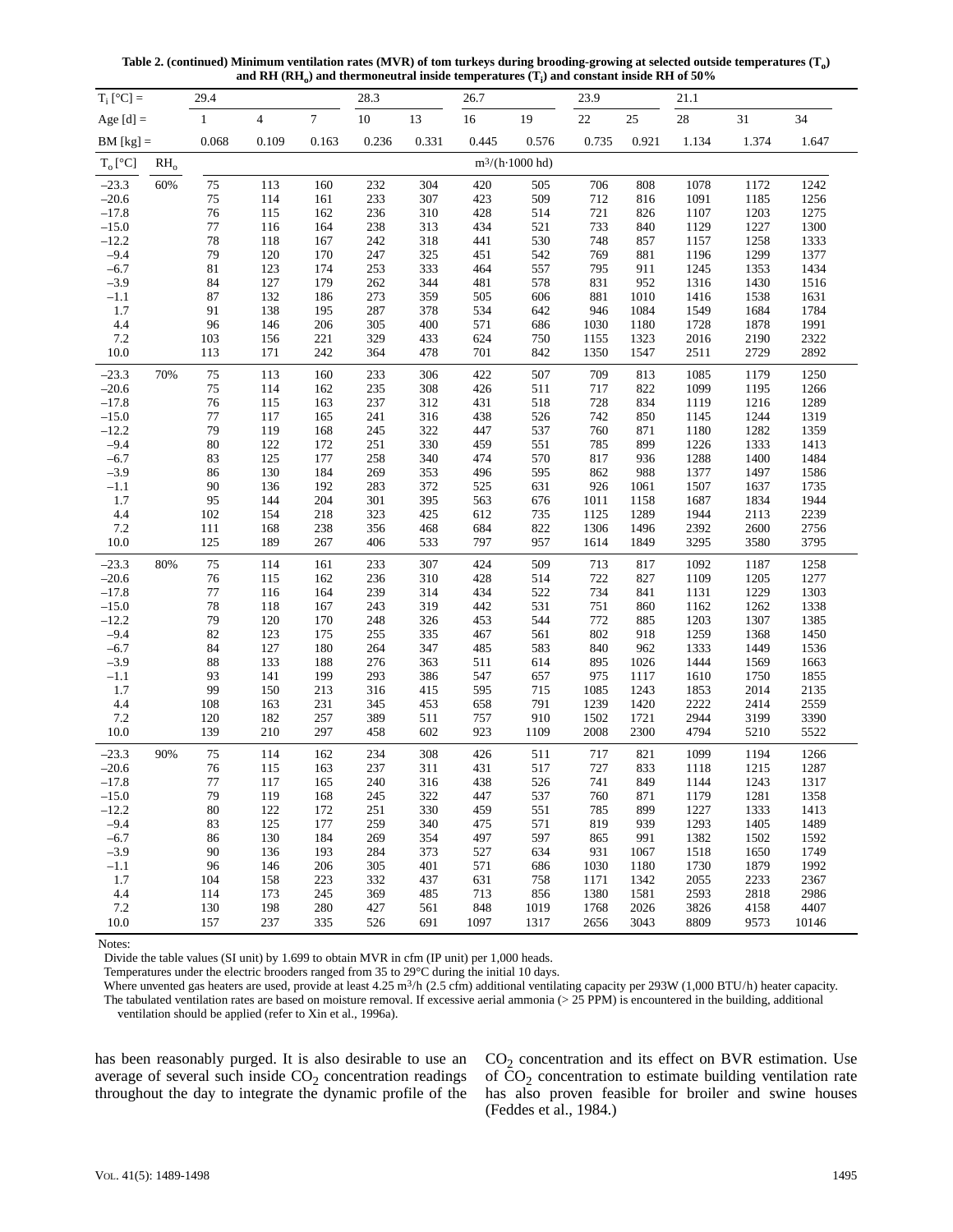**Table 2. (continued) Minimum ventilation rates (MVR) of tom turkeys during brooding-growing at selected outside temperatures (To)** and RH  $(\text{RH}_0)$  and thermoneutral inside temperatures  $(T_i)$  and constant inside RH of 50%

| $10\,$<br>16<br>$22\,$<br>25<br>$28\,$<br>31<br>Age $[d]$ =<br>$\mathbf{1}$<br>$\overline{\mathbf{4}}$<br>$\tau$<br>13<br>19<br>34<br>1.647<br>$BM [kg] =$<br>0.068<br>0.109<br>0.163<br>0.236<br>0.331<br>0.445<br>0.576<br>0.735<br>0.921<br>1.134<br>1.374<br>$m^3/(h \cdot 1000$ hd)<br>$T_o[^{\circ}C]$<br>$RH_0$<br>60%<br>75<br>$-23.3$<br>113<br>232<br>304<br>420<br>505<br>706<br>1078<br>1172<br>1242<br>160<br>808<br>75<br>233<br>307<br>423<br>509<br>712<br>1091<br>$-20.6$<br>114<br>161<br>816<br>1185<br>1256<br>$-17.8$<br>76<br>236<br>428<br>514<br>721<br>1107<br>1203<br>115<br>310<br>1275<br>162<br>826<br>77<br>733<br>238<br>434<br>521<br>$-15.0$<br>116<br>164<br>313<br>840<br>1129<br>1227<br>1300<br>78<br>$-12.2$<br>242<br>318<br>530<br>748<br>1157<br>1258<br>118<br>167<br>441<br>857<br>1333<br>79<br>$-9.4$<br>120<br>247<br>325<br>542<br>769<br>1299<br>170<br>451<br>881<br>1196<br>1377<br>$-6.7$<br>$81\,$<br>123<br>253<br>333<br>464<br>557<br>795<br>1245<br>174<br>911<br>1353<br>1434<br>84<br>127<br>262<br>344<br>481<br>578<br>831<br>1316<br>$-3.9$<br>179<br>952<br>1430<br>1516<br>87<br>132<br>273<br>359<br>505<br>881<br>1416<br>$-1.1$<br>186<br>606<br>1010<br>1538<br>1631<br>91<br>138<br>287<br>378<br>534<br>1.7<br>195<br>642<br>946<br>1084<br>1549<br>1684<br>1784<br>1728<br>1991<br>4.4<br>96<br>146<br>206<br>305<br>400<br>571<br>686<br>1030<br>1878<br>1180<br>221<br>329<br>624<br>2322<br>7.2<br>156<br>433<br>750<br>1323<br>2016<br>2190<br>103<br>1155<br>701<br>2729<br>2892<br>10.0<br>113<br>171<br>242<br>364<br>478<br>1350<br>2511<br>842<br>1547<br>$75\,$<br>113<br>233<br>306<br>422<br>507<br>709<br>1085<br>1250<br>$-23.3$<br>70%<br>160<br>813<br>1179<br>75<br>1099<br>$-20.6$<br>114<br>235<br>308<br>426<br>717<br>162<br>511<br>822<br>1195<br>1266<br>76<br>115<br>237<br>431<br>728<br>1119<br>1289<br>$-17.8$<br>163<br>312<br>518<br>834<br>1216<br>$-15.0$<br>$77\,$<br>117<br>438<br>742<br>1319<br>165<br>241<br>316<br>526<br>850<br>1145<br>1244<br>79<br>$-12.2$<br>119<br>322<br>447<br>537<br>760<br>1180<br>1282<br>1359<br>168<br>245<br>871<br>80<br>$-9.4$<br>122<br>330<br>459<br>551<br>1226<br>1333<br>172<br>251<br>785<br>899<br>1413<br>125<br>$-6.7$<br>83<br>258<br>570<br>817<br>1288<br>1400<br>177<br>340<br>474<br>936<br>1484<br>130<br>862<br>1377<br>$-3.9$<br>86<br>184<br>269<br>353<br>496<br>595<br>988<br>1497<br>1586<br>90<br>136<br>926<br>1507<br>$-1.1$<br>192<br>283<br>372<br>525<br>631<br>1061<br>1637<br>1735<br>95<br>204<br>301<br>1011<br>1687<br>1.7<br>144<br>395<br>563<br>676<br>1158<br>1834<br>1944<br>$4.4\,$<br>323<br>612<br>735<br>1944<br>2239<br>102<br>154<br>218<br>425<br>1125<br>1289<br>2113<br>684<br>1306<br>2392<br>7.2<br>111<br>168<br>238<br>356<br>468<br>822<br>1496<br>2600<br>2756<br>125<br>797<br>3295<br>3795<br>10.0<br>189<br>267<br>406<br>533<br>957<br>1614<br>1849<br>3580<br>75<br>$-23.3$<br>80%<br>114<br>233<br>307<br>424<br>509<br>713<br>1092<br>1258<br>161<br>817<br>1187<br>76<br>115<br>236<br>428<br>514<br>722<br>1109<br>1205<br>$-20.6$<br>162<br>310<br>827<br>1277<br>$77\,$<br>239<br>314<br>434<br>522<br>734<br>1229<br>$-17.8$<br>116<br>164<br>841<br>1131<br>1303<br>$-15.0$<br>78<br>118<br>243<br>319<br>442<br>531<br>751<br>1338<br>167<br>860<br>1162<br>1262<br>$-12.2$<br>79<br>120<br>248<br>326<br>453<br>544<br>772<br>1203<br>1307<br>170<br>885<br>1385<br>$-9.4$<br>82<br>123<br>255<br>467<br>561<br>802<br>1259<br>1368<br>1450<br>175<br>335<br>918<br>84<br>127<br>264<br>347<br>485<br>583<br>840<br>1333<br>1449<br>$-6.7$<br>180<br>962<br>1536<br>88<br>133<br>276<br>363<br>511<br>895<br>1444<br>1569<br>$-3.9$<br>188<br>614<br>1026<br>1663<br>141<br>199<br>293<br>386<br>657<br>975<br>$-1.1$<br>93<br>547<br>1117<br>1610<br>1750<br>1855<br>1.7<br>99<br>150<br>213<br>316<br>595<br>715<br>1085<br>1853<br>2014<br>2135<br>415<br>1243<br>231<br>345<br>658<br>791<br>1239<br>2222<br>2414<br>2559<br>4.4<br>108<br>163<br>453<br>1420<br>182<br>389<br>757<br>1502<br>2944<br>3390<br>7.2<br>120<br>257<br>511<br>910<br>1721<br>3199<br>210<br>923<br>2300<br>4794<br>5522<br>10.0<br>139<br>297<br>458<br>602<br>1109<br>2008<br>5210<br>75<br>717<br>90%<br>114<br>234<br>308<br>426<br>511<br>1099<br>$-23.3$<br>162<br>821<br>1194<br>1266<br>727<br>76<br>237<br>$-20.6$<br>115<br>311<br>431<br>517<br>833<br>1118<br>1215<br>1287<br>163<br>$-17.8$<br>$77 \,$<br>117<br>240<br>438<br>526<br>741<br>849<br>1243<br>1317<br>165<br>316<br>1144<br>79<br>322<br>760<br>871<br>$-15.0$<br>119<br>168<br>245<br>447<br>537<br>1179<br>1281<br>1358<br>$-12.2$<br>122<br>785<br>1227<br>80<br>172<br>251<br>330<br>459<br>551<br>899<br>1333<br>1413<br>$-9.4$<br>125<br>259<br>819<br>1293<br>83<br>177<br>340<br>475<br>571<br>939<br>1405<br>1489<br>$-6.7$<br>130<br>497<br>1382<br>1502<br>86<br>184<br>269<br>354<br>597<br>865<br>991<br>1592<br>$-3.9$<br>136<br>193<br>284<br>931<br>1749<br>90<br>373<br>527<br>634<br>1518<br>1650<br>1067<br>206<br>305<br>1730<br>1879<br>1992<br>$-1.1$<br>96<br>146<br>401<br>571<br>686<br>1030<br>1180<br>1.7<br>158<br>223<br>332<br>2055<br>104<br>437<br>631<br>758<br>1171<br>1342<br>2233<br>2367<br>4.4<br>173<br>2593<br>2818<br>2986<br>114<br>245<br>369<br>485<br>713<br>856<br>1380<br>1581<br>7.2<br>130<br>198<br>3826<br>4407<br>280<br>427<br>561<br>848<br>1019<br>1768<br>2026<br>4158<br>237<br>10.0<br>157<br>335<br>1317<br>3043<br>8809<br>9573<br>526<br>691<br>1097<br>2656<br>10146 | $T_i$ [°C] = | 29.4 |  | 28.3 | 26.7 | 23.9 | 21.1 |  |
|------------------------------------------------------------------------------------------------------------------------------------------------------------------------------------------------------------------------------------------------------------------------------------------------------------------------------------------------------------------------------------------------------------------------------------------------------------------------------------------------------------------------------------------------------------------------------------------------------------------------------------------------------------------------------------------------------------------------------------------------------------------------------------------------------------------------------------------------------------------------------------------------------------------------------------------------------------------------------------------------------------------------------------------------------------------------------------------------------------------------------------------------------------------------------------------------------------------------------------------------------------------------------------------------------------------------------------------------------------------------------------------------------------------------------------------------------------------------------------------------------------------------------------------------------------------------------------------------------------------------------------------------------------------------------------------------------------------------------------------------------------------------------------------------------------------------------------------------------------------------------------------------------------------------------------------------------------------------------------------------------------------------------------------------------------------------------------------------------------------------------------------------------------------------------------------------------------------------------------------------------------------------------------------------------------------------------------------------------------------------------------------------------------------------------------------------------------------------------------------------------------------------------------------------------------------------------------------------------------------------------------------------------------------------------------------------------------------------------------------------------------------------------------------------------------------------------------------------------------------------------------------------------------------------------------------------------------------------------------------------------------------------------------------------------------------------------------------------------------------------------------------------------------------------------------------------------------------------------------------------------------------------------------------------------------------------------------------------------------------------------------------------------------------------------------------------------------------------------------------------------------------------------------------------------------------------------------------------------------------------------------------------------------------------------------------------------------------------------------------------------------------------------------------------------------------------------------------------------------------------------------------------------------------------------------------------------------------------------------------------------------------------------------------------------------------------------------------------------------------------------------------------------------------------------------------------------------------------------------------------------------------------------------------------------------------------------------------------------------------------------------------------------------------------------------------------------------------------------------------------------------------------------------------------------------------------------------------------------------------------------------------------------------------------------------------------------------------------------------------------------------------------------------------------------------------------------------------------------------------------------------------------------------------------------------------------------------------------------------------------------------------------------------------------------------------------------------------------------------------------------------------------------------------------------------------------------------------------------------------------------------------------------------------------------------------------------------------------------------------------------------------------------------------------------------------------------------------------------------------------------------------------------------------------------------------------------------------------------------|--------------|------|--|------|------|------|------|--|
|                                                                                                                                                                                                                                                                                                                                                                                                                                                                                                                                                                                                                                                                                                                                                                                                                                                                                                                                                                                                                                                                                                                                                                                                                                                                                                                                                                                                                                                                                                                                                                                                                                                                                                                                                                                                                                                                                                                                                                                                                                                                                                                                                                                                                                                                                                                                                                                                                                                                                                                                                                                                                                                                                                                                                                                                                                                                                                                                                                                                                                                                                                                                                                                                                                                                                                                                                                                                                                                                                                                                                                                                                                                                                                                                                                                                                                                                                                                                                                                                                                                                                                                                                                                                                                                                                                                                                                                                                                                                                                                                                                                                                                                                                                                                                                                                                                                                                                                                                                                                                                                                                                                                                                                                                                                                                                                                                                                                                                                                                                                                                                                                            |              |      |  |      |      |      |      |  |
|                                                                                                                                                                                                                                                                                                                                                                                                                                                                                                                                                                                                                                                                                                                                                                                                                                                                                                                                                                                                                                                                                                                                                                                                                                                                                                                                                                                                                                                                                                                                                                                                                                                                                                                                                                                                                                                                                                                                                                                                                                                                                                                                                                                                                                                                                                                                                                                                                                                                                                                                                                                                                                                                                                                                                                                                                                                                                                                                                                                                                                                                                                                                                                                                                                                                                                                                                                                                                                                                                                                                                                                                                                                                                                                                                                                                                                                                                                                                                                                                                                                                                                                                                                                                                                                                                                                                                                                                                                                                                                                                                                                                                                                                                                                                                                                                                                                                                                                                                                                                                                                                                                                                                                                                                                                                                                                                                                                                                                                                                                                                                                                                            |              |      |  |      |      |      |      |  |
|                                                                                                                                                                                                                                                                                                                                                                                                                                                                                                                                                                                                                                                                                                                                                                                                                                                                                                                                                                                                                                                                                                                                                                                                                                                                                                                                                                                                                                                                                                                                                                                                                                                                                                                                                                                                                                                                                                                                                                                                                                                                                                                                                                                                                                                                                                                                                                                                                                                                                                                                                                                                                                                                                                                                                                                                                                                                                                                                                                                                                                                                                                                                                                                                                                                                                                                                                                                                                                                                                                                                                                                                                                                                                                                                                                                                                                                                                                                                                                                                                                                                                                                                                                                                                                                                                                                                                                                                                                                                                                                                                                                                                                                                                                                                                                                                                                                                                                                                                                                                                                                                                                                                                                                                                                                                                                                                                                                                                                                                                                                                                                                                            |              |      |  |      |      |      |      |  |
|                                                                                                                                                                                                                                                                                                                                                                                                                                                                                                                                                                                                                                                                                                                                                                                                                                                                                                                                                                                                                                                                                                                                                                                                                                                                                                                                                                                                                                                                                                                                                                                                                                                                                                                                                                                                                                                                                                                                                                                                                                                                                                                                                                                                                                                                                                                                                                                                                                                                                                                                                                                                                                                                                                                                                                                                                                                                                                                                                                                                                                                                                                                                                                                                                                                                                                                                                                                                                                                                                                                                                                                                                                                                                                                                                                                                                                                                                                                                                                                                                                                                                                                                                                                                                                                                                                                                                                                                                                                                                                                                                                                                                                                                                                                                                                                                                                                                                                                                                                                                                                                                                                                                                                                                                                                                                                                                                                                                                                                                                                                                                                                                            |              |      |  |      |      |      |      |  |
|                                                                                                                                                                                                                                                                                                                                                                                                                                                                                                                                                                                                                                                                                                                                                                                                                                                                                                                                                                                                                                                                                                                                                                                                                                                                                                                                                                                                                                                                                                                                                                                                                                                                                                                                                                                                                                                                                                                                                                                                                                                                                                                                                                                                                                                                                                                                                                                                                                                                                                                                                                                                                                                                                                                                                                                                                                                                                                                                                                                                                                                                                                                                                                                                                                                                                                                                                                                                                                                                                                                                                                                                                                                                                                                                                                                                                                                                                                                                                                                                                                                                                                                                                                                                                                                                                                                                                                                                                                                                                                                                                                                                                                                                                                                                                                                                                                                                                                                                                                                                                                                                                                                                                                                                                                                                                                                                                                                                                                                                                                                                                                                                            |              |      |  |      |      |      |      |  |
|                                                                                                                                                                                                                                                                                                                                                                                                                                                                                                                                                                                                                                                                                                                                                                                                                                                                                                                                                                                                                                                                                                                                                                                                                                                                                                                                                                                                                                                                                                                                                                                                                                                                                                                                                                                                                                                                                                                                                                                                                                                                                                                                                                                                                                                                                                                                                                                                                                                                                                                                                                                                                                                                                                                                                                                                                                                                                                                                                                                                                                                                                                                                                                                                                                                                                                                                                                                                                                                                                                                                                                                                                                                                                                                                                                                                                                                                                                                                                                                                                                                                                                                                                                                                                                                                                                                                                                                                                                                                                                                                                                                                                                                                                                                                                                                                                                                                                                                                                                                                                                                                                                                                                                                                                                                                                                                                                                                                                                                                                                                                                                                                            |              |      |  |      |      |      |      |  |
|                                                                                                                                                                                                                                                                                                                                                                                                                                                                                                                                                                                                                                                                                                                                                                                                                                                                                                                                                                                                                                                                                                                                                                                                                                                                                                                                                                                                                                                                                                                                                                                                                                                                                                                                                                                                                                                                                                                                                                                                                                                                                                                                                                                                                                                                                                                                                                                                                                                                                                                                                                                                                                                                                                                                                                                                                                                                                                                                                                                                                                                                                                                                                                                                                                                                                                                                                                                                                                                                                                                                                                                                                                                                                                                                                                                                                                                                                                                                                                                                                                                                                                                                                                                                                                                                                                                                                                                                                                                                                                                                                                                                                                                                                                                                                                                                                                                                                                                                                                                                                                                                                                                                                                                                                                                                                                                                                                                                                                                                                                                                                                                                            |              |      |  |      |      |      |      |  |
|                                                                                                                                                                                                                                                                                                                                                                                                                                                                                                                                                                                                                                                                                                                                                                                                                                                                                                                                                                                                                                                                                                                                                                                                                                                                                                                                                                                                                                                                                                                                                                                                                                                                                                                                                                                                                                                                                                                                                                                                                                                                                                                                                                                                                                                                                                                                                                                                                                                                                                                                                                                                                                                                                                                                                                                                                                                                                                                                                                                                                                                                                                                                                                                                                                                                                                                                                                                                                                                                                                                                                                                                                                                                                                                                                                                                                                                                                                                                                                                                                                                                                                                                                                                                                                                                                                                                                                                                                                                                                                                                                                                                                                                                                                                                                                                                                                                                                                                                                                                                                                                                                                                                                                                                                                                                                                                                                                                                                                                                                                                                                                                                            |              |      |  |      |      |      |      |  |
|                                                                                                                                                                                                                                                                                                                                                                                                                                                                                                                                                                                                                                                                                                                                                                                                                                                                                                                                                                                                                                                                                                                                                                                                                                                                                                                                                                                                                                                                                                                                                                                                                                                                                                                                                                                                                                                                                                                                                                                                                                                                                                                                                                                                                                                                                                                                                                                                                                                                                                                                                                                                                                                                                                                                                                                                                                                                                                                                                                                                                                                                                                                                                                                                                                                                                                                                                                                                                                                                                                                                                                                                                                                                                                                                                                                                                                                                                                                                                                                                                                                                                                                                                                                                                                                                                                                                                                                                                                                                                                                                                                                                                                                                                                                                                                                                                                                                                                                                                                                                                                                                                                                                                                                                                                                                                                                                                                                                                                                                                                                                                                                                            |              |      |  |      |      |      |      |  |
|                                                                                                                                                                                                                                                                                                                                                                                                                                                                                                                                                                                                                                                                                                                                                                                                                                                                                                                                                                                                                                                                                                                                                                                                                                                                                                                                                                                                                                                                                                                                                                                                                                                                                                                                                                                                                                                                                                                                                                                                                                                                                                                                                                                                                                                                                                                                                                                                                                                                                                                                                                                                                                                                                                                                                                                                                                                                                                                                                                                                                                                                                                                                                                                                                                                                                                                                                                                                                                                                                                                                                                                                                                                                                                                                                                                                                                                                                                                                                                                                                                                                                                                                                                                                                                                                                                                                                                                                                                                                                                                                                                                                                                                                                                                                                                                                                                                                                                                                                                                                                                                                                                                                                                                                                                                                                                                                                                                                                                                                                                                                                                                                            |              |      |  |      |      |      |      |  |
|                                                                                                                                                                                                                                                                                                                                                                                                                                                                                                                                                                                                                                                                                                                                                                                                                                                                                                                                                                                                                                                                                                                                                                                                                                                                                                                                                                                                                                                                                                                                                                                                                                                                                                                                                                                                                                                                                                                                                                                                                                                                                                                                                                                                                                                                                                                                                                                                                                                                                                                                                                                                                                                                                                                                                                                                                                                                                                                                                                                                                                                                                                                                                                                                                                                                                                                                                                                                                                                                                                                                                                                                                                                                                                                                                                                                                                                                                                                                                                                                                                                                                                                                                                                                                                                                                                                                                                                                                                                                                                                                                                                                                                                                                                                                                                                                                                                                                                                                                                                                                                                                                                                                                                                                                                                                                                                                                                                                                                                                                                                                                                                                            |              |      |  |      |      |      |      |  |
|                                                                                                                                                                                                                                                                                                                                                                                                                                                                                                                                                                                                                                                                                                                                                                                                                                                                                                                                                                                                                                                                                                                                                                                                                                                                                                                                                                                                                                                                                                                                                                                                                                                                                                                                                                                                                                                                                                                                                                                                                                                                                                                                                                                                                                                                                                                                                                                                                                                                                                                                                                                                                                                                                                                                                                                                                                                                                                                                                                                                                                                                                                                                                                                                                                                                                                                                                                                                                                                                                                                                                                                                                                                                                                                                                                                                                                                                                                                                                                                                                                                                                                                                                                                                                                                                                                                                                                                                                                                                                                                                                                                                                                                                                                                                                                                                                                                                                                                                                                                                                                                                                                                                                                                                                                                                                                                                                                                                                                                                                                                                                                                                            |              |      |  |      |      |      |      |  |
|                                                                                                                                                                                                                                                                                                                                                                                                                                                                                                                                                                                                                                                                                                                                                                                                                                                                                                                                                                                                                                                                                                                                                                                                                                                                                                                                                                                                                                                                                                                                                                                                                                                                                                                                                                                                                                                                                                                                                                                                                                                                                                                                                                                                                                                                                                                                                                                                                                                                                                                                                                                                                                                                                                                                                                                                                                                                                                                                                                                                                                                                                                                                                                                                                                                                                                                                                                                                                                                                                                                                                                                                                                                                                                                                                                                                                                                                                                                                                                                                                                                                                                                                                                                                                                                                                                                                                                                                                                                                                                                                                                                                                                                                                                                                                                                                                                                                                                                                                                                                                                                                                                                                                                                                                                                                                                                                                                                                                                                                                                                                                                                                            |              |      |  |      |      |      |      |  |
|                                                                                                                                                                                                                                                                                                                                                                                                                                                                                                                                                                                                                                                                                                                                                                                                                                                                                                                                                                                                                                                                                                                                                                                                                                                                                                                                                                                                                                                                                                                                                                                                                                                                                                                                                                                                                                                                                                                                                                                                                                                                                                                                                                                                                                                                                                                                                                                                                                                                                                                                                                                                                                                                                                                                                                                                                                                                                                                                                                                                                                                                                                                                                                                                                                                                                                                                                                                                                                                                                                                                                                                                                                                                                                                                                                                                                                                                                                                                                                                                                                                                                                                                                                                                                                                                                                                                                                                                                                                                                                                                                                                                                                                                                                                                                                                                                                                                                                                                                                                                                                                                                                                                                                                                                                                                                                                                                                                                                                                                                                                                                                                                            |              |      |  |      |      |      |      |  |
|                                                                                                                                                                                                                                                                                                                                                                                                                                                                                                                                                                                                                                                                                                                                                                                                                                                                                                                                                                                                                                                                                                                                                                                                                                                                                                                                                                                                                                                                                                                                                                                                                                                                                                                                                                                                                                                                                                                                                                                                                                                                                                                                                                                                                                                                                                                                                                                                                                                                                                                                                                                                                                                                                                                                                                                                                                                                                                                                                                                                                                                                                                                                                                                                                                                                                                                                                                                                                                                                                                                                                                                                                                                                                                                                                                                                                                                                                                                                                                                                                                                                                                                                                                                                                                                                                                                                                                                                                                                                                                                                                                                                                                                                                                                                                                                                                                                                                                                                                                                                                                                                                                                                                                                                                                                                                                                                                                                                                                                                                                                                                                                                            |              |      |  |      |      |      |      |  |
|                                                                                                                                                                                                                                                                                                                                                                                                                                                                                                                                                                                                                                                                                                                                                                                                                                                                                                                                                                                                                                                                                                                                                                                                                                                                                                                                                                                                                                                                                                                                                                                                                                                                                                                                                                                                                                                                                                                                                                                                                                                                                                                                                                                                                                                                                                                                                                                                                                                                                                                                                                                                                                                                                                                                                                                                                                                                                                                                                                                                                                                                                                                                                                                                                                                                                                                                                                                                                                                                                                                                                                                                                                                                                                                                                                                                                                                                                                                                                                                                                                                                                                                                                                                                                                                                                                                                                                                                                                                                                                                                                                                                                                                                                                                                                                                                                                                                                                                                                                                                                                                                                                                                                                                                                                                                                                                                                                                                                                                                                                                                                                                                            |              |      |  |      |      |      |      |  |
|                                                                                                                                                                                                                                                                                                                                                                                                                                                                                                                                                                                                                                                                                                                                                                                                                                                                                                                                                                                                                                                                                                                                                                                                                                                                                                                                                                                                                                                                                                                                                                                                                                                                                                                                                                                                                                                                                                                                                                                                                                                                                                                                                                                                                                                                                                                                                                                                                                                                                                                                                                                                                                                                                                                                                                                                                                                                                                                                                                                                                                                                                                                                                                                                                                                                                                                                                                                                                                                                                                                                                                                                                                                                                                                                                                                                                                                                                                                                                                                                                                                                                                                                                                                                                                                                                                                                                                                                                                                                                                                                                                                                                                                                                                                                                                                                                                                                                                                                                                                                                                                                                                                                                                                                                                                                                                                                                                                                                                                                                                                                                                                                            |              |      |  |      |      |      |      |  |
|                                                                                                                                                                                                                                                                                                                                                                                                                                                                                                                                                                                                                                                                                                                                                                                                                                                                                                                                                                                                                                                                                                                                                                                                                                                                                                                                                                                                                                                                                                                                                                                                                                                                                                                                                                                                                                                                                                                                                                                                                                                                                                                                                                                                                                                                                                                                                                                                                                                                                                                                                                                                                                                                                                                                                                                                                                                                                                                                                                                                                                                                                                                                                                                                                                                                                                                                                                                                                                                                                                                                                                                                                                                                                                                                                                                                                                                                                                                                                                                                                                                                                                                                                                                                                                                                                                                                                                                                                                                                                                                                                                                                                                                                                                                                                                                                                                                                                                                                                                                                                                                                                                                                                                                                                                                                                                                                                                                                                                                                                                                                                                                                            |              |      |  |      |      |      |      |  |
|                                                                                                                                                                                                                                                                                                                                                                                                                                                                                                                                                                                                                                                                                                                                                                                                                                                                                                                                                                                                                                                                                                                                                                                                                                                                                                                                                                                                                                                                                                                                                                                                                                                                                                                                                                                                                                                                                                                                                                                                                                                                                                                                                                                                                                                                                                                                                                                                                                                                                                                                                                                                                                                                                                                                                                                                                                                                                                                                                                                                                                                                                                                                                                                                                                                                                                                                                                                                                                                                                                                                                                                                                                                                                                                                                                                                                                                                                                                                                                                                                                                                                                                                                                                                                                                                                                                                                                                                                                                                                                                                                                                                                                                                                                                                                                                                                                                                                                                                                                                                                                                                                                                                                                                                                                                                                                                                                                                                                                                                                                                                                                                                            |              |      |  |      |      |      |      |  |
|                                                                                                                                                                                                                                                                                                                                                                                                                                                                                                                                                                                                                                                                                                                                                                                                                                                                                                                                                                                                                                                                                                                                                                                                                                                                                                                                                                                                                                                                                                                                                                                                                                                                                                                                                                                                                                                                                                                                                                                                                                                                                                                                                                                                                                                                                                                                                                                                                                                                                                                                                                                                                                                                                                                                                                                                                                                                                                                                                                                                                                                                                                                                                                                                                                                                                                                                                                                                                                                                                                                                                                                                                                                                                                                                                                                                                                                                                                                                                                                                                                                                                                                                                                                                                                                                                                                                                                                                                                                                                                                                                                                                                                                                                                                                                                                                                                                                                                                                                                                                                                                                                                                                                                                                                                                                                                                                                                                                                                                                                                                                                                                                            |              |      |  |      |      |      |      |  |
|                                                                                                                                                                                                                                                                                                                                                                                                                                                                                                                                                                                                                                                                                                                                                                                                                                                                                                                                                                                                                                                                                                                                                                                                                                                                                                                                                                                                                                                                                                                                                                                                                                                                                                                                                                                                                                                                                                                                                                                                                                                                                                                                                                                                                                                                                                                                                                                                                                                                                                                                                                                                                                                                                                                                                                                                                                                                                                                                                                                                                                                                                                                                                                                                                                                                                                                                                                                                                                                                                                                                                                                                                                                                                                                                                                                                                                                                                                                                                                                                                                                                                                                                                                                                                                                                                                                                                                                                                                                                                                                                                                                                                                                                                                                                                                                                                                                                                                                                                                                                                                                                                                                                                                                                                                                                                                                                                                                                                                                                                                                                                                                                            |              |      |  |      |      |      |      |  |
|                                                                                                                                                                                                                                                                                                                                                                                                                                                                                                                                                                                                                                                                                                                                                                                                                                                                                                                                                                                                                                                                                                                                                                                                                                                                                                                                                                                                                                                                                                                                                                                                                                                                                                                                                                                                                                                                                                                                                                                                                                                                                                                                                                                                                                                                                                                                                                                                                                                                                                                                                                                                                                                                                                                                                                                                                                                                                                                                                                                                                                                                                                                                                                                                                                                                                                                                                                                                                                                                                                                                                                                                                                                                                                                                                                                                                                                                                                                                                                                                                                                                                                                                                                                                                                                                                                                                                                                                                                                                                                                                                                                                                                                                                                                                                                                                                                                                                                                                                                                                                                                                                                                                                                                                                                                                                                                                                                                                                                                                                                                                                                                                            |              |      |  |      |      |      |      |  |
|                                                                                                                                                                                                                                                                                                                                                                                                                                                                                                                                                                                                                                                                                                                                                                                                                                                                                                                                                                                                                                                                                                                                                                                                                                                                                                                                                                                                                                                                                                                                                                                                                                                                                                                                                                                                                                                                                                                                                                                                                                                                                                                                                                                                                                                                                                                                                                                                                                                                                                                                                                                                                                                                                                                                                                                                                                                                                                                                                                                                                                                                                                                                                                                                                                                                                                                                                                                                                                                                                                                                                                                                                                                                                                                                                                                                                                                                                                                                                                                                                                                                                                                                                                                                                                                                                                                                                                                                                                                                                                                                                                                                                                                                                                                                                                                                                                                                                                                                                                                                                                                                                                                                                                                                                                                                                                                                                                                                                                                                                                                                                                                                            |              |      |  |      |      |      |      |  |
|                                                                                                                                                                                                                                                                                                                                                                                                                                                                                                                                                                                                                                                                                                                                                                                                                                                                                                                                                                                                                                                                                                                                                                                                                                                                                                                                                                                                                                                                                                                                                                                                                                                                                                                                                                                                                                                                                                                                                                                                                                                                                                                                                                                                                                                                                                                                                                                                                                                                                                                                                                                                                                                                                                                                                                                                                                                                                                                                                                                                                                                                                                                                                                                                                                                                                                                                                                                                                                                                                                                                                                                                                                                                                                                                                                                                                                                                                                                                                                                                                                                                                                                                                                                                                                                                                                                                                                                                                                                                                                                                                                                                                                                                                                                                                                                                                                                                                                                                                                                                                                                                                                                                                                                                                                                                                                                                                                                                                                                                                                                                                                                                            |              |      |  |      |      |      |      |  |
|                                                                                                                                                                                                                                                                                                                                                                                                                                                                                                                                                                                                                                                                                                                                                                                                                                                                                                                                                                                                                                                                                                                                                                                                                                                                                                                                                                                                                                                                                                                                                                                                                                                                                                                                                                                                                                                                                                                                                                                                                                                                                                                                                                                                                                                                                                                                                                                                                                                                                                                                                                                                                                                                                                                                                                                                                                                                                                                                                                                                                                                                                                                                                                                                                                                                                                                                                                                                                                                                                                                                                                                                                                                                                                                                                                                                                                                                                                                                                                                                                                                                                                                                                                                                                                                                                                                                                                                                                                                                                                                                                                                                                                                                                                                                                                                                                                                                                                                                                                                                                                                                                                                                                                                                                                                                                                                                                                                                                                                                                                                                                                                                            |              |      |  |      |      |      |      |  |
|                                                                                                                                                                                                                                                                                                                                                                                                                                                                                                                                                                                                                                                                                                                                                                                                                                                                                                                                                                                                                                                                                                                                                                                                                                                                                                                                                                                                                                                                                                                                                                                                                                                                                                                                                                                                                                                                                                                                                                                                                                                                                                                                                                                                                                                                                                                                                                                                                                                                                                                                                                                                                                                                                                                                                                                                                                                                                                                                                                                                                                                                                                                                                                                                                                                                                                                                                                                                                                                                                                                                                                                                                                                                                                                                                                                                                                                                                                                                                                                                                                                                                                                                                                                                                                                                                                                                                                                                                                                                                                                                                                                                                                                                                                                                                                                                                                                                                                                                                                                                                                                                                                                                                                                                                                                                                                                                                                                                                                                                                                                                                                                                            |              |      |  |      |      |      |      |  |
|                                                                                                                                                                                                                                                                                                                                                                                                                                                                                                                                                                                                                                                                                                                                                                                                                                                                                                                                                                                                                                                                                                                                                                                                                                                                                                                                                                                                                                                                                                                                                                                                                                                                                                                                                                                                                                                                                                                                                                                                                                                                                                                                                                                                                                                                                                                                                                                                                                                                                                                                                                                                                                                                                                                                                                                                                                                                                                                                                                                                                                                                                                                                                                                                                                                                                                                                                                                                                                                                                                                                                                                                                                                                                                                                                                                                                                                                                                                                                                                                                                                                                                                                                                                                                                                                                                                                                                                                                                                                                                                                                                                                                                                                                                                                                                                                                                                                                                                                                                                                                                                                                                                                                                                                                                                                                                                                                                                                                                                                                                                                                                                                            |              |      |  |      |      |      |      |  |
|                                                                                                                                                                                                                                                                                                                                                                                                                                                                                                                                                                                                                                                                                                                                                                                                                                                                                                                                                                                                                                                                                                                                                                                                                                                                                                                                                                                                                                                                                                                                                                                                                                                                                                                                                                                                                                                                                                                                                                                                                                                                                                                                                                                                                                                                                                                                                                                                                                                                                                                                                                                                                                                                                                                                                                                                                                                                                                                                                                                                                                                                                                                                                                                                                                                                                                                                                                                                                                                                                                                                                                                                                                                                                                                                                                                                                                                                                                                                                                                                                                                                                                                                                                                                                                                                                                                                                                                                                                                                                                                                                                                                                                                                                                                                                                                                                                                                                                                                                                                                                                                                                                                                                                                                                                                                                                                                                                                                                                                                                                                                                                                                            |              |      |  |      |      |      |      |  |
|                                                                                                                                                                                                                                                                                                                                                                                                                                                                                                                                                                                                                                                                                                                                                                                                                                                                                                                                                                                                                                                                                                                                                                                                                                                                                                                                                                                                                                                                                                                                                                                                                                                                                                                                                                                                                                                                                                                                                                                                                                                                                                                                                                                                                                                                                                                                                                                                                                                                                                                                                                                                                                                                                                                                                                                                                                                                                                                                                                                                                                                                                                                                                                                                                                                                                                                                                                                                                                                                                                                                                                                                                                                                                                                                                                                                                                                                                                                                                                                                                                                                                                                                                                                                                                                                                                                                                                                                                                                                                                                                                                                                                                                                                                                                                                                                                                                                                                                                                                                                                                                                                                                                                                                                                                                                                                                                                                                                                                                                                                                                                                                                            |              |      |  |      |      |      |      |  |
|                                                                                                                                                                                                                                                                                                                                                                                                                                                                                                                                                                                                                                                                                                                                                                                                                                                                                                                                                                                                                                                                                                                                                                                                                                                                                                                                                                                                                                                                                                                                                                                                                                                                                                                                                                                                                                                                                                                                                                                                                                                                                                                                                                                                                                                                                                                                                                                                                                                                                                                                                                                                                                                                                                                                                                                                                                                                                                                                                                                                                                                                                                                                                                                                                                                                                                                                                                                                                                                                                                                                                                                                                                                                                                                                                                                                                                                                                                                                                                                                                                                                                                                                                                                                                                                                                                                                                                                                                                                                                                                                                                                                                                                                                                                                                                                                                                                                                                                                                                                                                                                                                                                                                                                                                                                                                                                                                                                                                                                                                                                                                                                                            |              |      |  |      |      |      |      |  |
|                                                                                                                                                                                                                                                                                                                                                                                                                                                                                                                                                                                                                                                                                                                                                                                                                                                                                                                                                                                                                                                                                                                                                                                                                                                                                                                                                                                                                                                                                                                                                                                                                                                                                                                                                                                                                                                                                                                                                                                                                                                                                                                                                                                                                                                                                                                                                                                                                                                                                                                                                                                                                                                                                                                                                                                                                                                                                                                                                                                                                                                                                                                                                                                                                                                                                                                                                                                                                                                                                                                                                                                                                                                                                                                                                                                                                                                                                                                                                                                                                                                                                                                                                                                                                                                                                                                                                                                                                                                                                                                                                                                                                                                                                                                                                                                                                                                                                                                                                                                                                                                                                                                                                                                                                                                                                                                                                                                                                                                                                                                                                                                                            |              |      |  |      |      |      |      |  |
|                                                                                                                                                                                                                                                                                                                                                                                                                                                                                                                                                                                                                                                                                                                                                                                                                                                                                                                                                                                                                                                                                                                                                                                                                                                                                                                                                                                                                                                                                                                                                                                                                                                                                                                                                                                                                                                                                                                                                                                                                                                                                                                                                                                                                                                                                                                                                                                                                                                                                                                                                                                                                                                                                                                                                                                                                                                                                                                                                                                                                                                                                                                                                                                                                                                                                                                                                                                                                                                                                                                                                                                                                                                                                                                                                                                                                                                                                                                                                                                                                                                                                                                                                                                                                                                                                                                                                                                                                                                                                                                                                                                                                                                                                                                                                                                                                                                                                                                                                                                                                                                                                                                                                                                                                                                                                                                                                                                                                                                                                                                                                                                                            |              |      |  |      |      |      |      |  |
|                                                                                                                                                                                                                                                                                                                                                                                                                                                                                                                                                                                                                                                                                                                                                                                                                                                                                                                                                                                                                                                                                                                                                                                                                                                                                                                                                                                                                                                                                                                                                                                                                                                                                                                                                                                                                                                                                                                                                                                                                                                                                                                                                                                                                                                                                                                                                                                                                                                                                                                                                                                                                                                                                                                                                                                                                                                                                                                                                                                                                                                                                                                                                                                                                                                                                                                                                                                                                                                                                                                                                                                                                                                                                                                                                                                                                                                                                                                                                                                                                                                                                                                                                                                                                                                                                                                                                                                                                                                                                                                                                                                                                                                                                                                                                                                                                                                                                                                                                                                                                                                                                                                                                                                                                                                                                                                                                                                                                                                                                                                                                                                                            |              |      |  |      |      |      |      |  |
|                                                                                                                                                                                                                                                                                                                                                                                                                                                                                                                                                                                                                                                                                                                                                                                                                                                                                                                                                                                                                                                                                                                                                                                                                                                                                                                                                                                                                                                                                                                                                                                                                                                                                                                                                                                                                                                                                                                                                                                                                                                                                                                                                                                                                                                                                                                                                                                                                                                                                                                                                                                                                                                                                                                                                                                                                                                                                                                                                                                                                                                                                                                                                                                                                                                                                                                                                                                                                                                                                                                                                                                                                                                                                                                                                                                                                                                                                                                                                                                                                                                                                                                                                                                                                                                                                                                                                                                                                                                                                                                                                                                                                                                                                                                                                                                                                                                                                                                                                                                                                                                                                                                                                                                                                                                                                                                                                                                                                                                                                                                                                                                                            |              |      |  |      |      |      |      |  |
|                                                                                                                                                                                                                                                                                                                                                                                                                                                                                                                                                                                                                                                                                                                                                                                                                                                                                                                                                                                                                                                                                                                                                                                                                                                                                                                                                                                                                                                                                                                                                                                                                                                                                                                                                                                                                                                                                                                                                                                                                                                                                                                                                                                                                                                                                                                                                                                                                                                                                                                                                                                                                                                                                                                                                                                                                                                                                                                                                                                                                                                                                                                                                                                                                                                                                                                                                                                                                                                                                                                                                                                                                                                                                                                                                                                                                                                                                                                                                                                                                                                                                                                                                                                                                                                                                                                                                                                                                                                                                                                                                                                                                                                                                                                                                                                                                                                                                                                                                                                                                                                                                                                                                                                                                                                                                                                                                                                                                                                                                                                                                                                                            |              |      |  |      |      |      |      |  |
|                                                                                                                                                                                                                                                                                                                                                                                                                                                                                                                                                                                                                                                                                                                                                                                                                                                                                                                                                                                                                                                                                                                                                                                                                                                                                                                                                                                                                                                                                                                                                                                                                                                                                                                                                                                                                                                                                                                                                                                                                                                                                                                                                                                                                                                                                                                                                                                                                                                                                                                                                                                                                                                                                                                                                                                                                                                                                                                                                                                                                                                                                                                                                                                                                                                                                                                                                                                                                                                                                                                                                                                                                                                                                                                                                                                                                                                                                                                                                                                                                                                                                                                                                                                                                                                                                                                                                                                                                                                                                                                                                                                                                                                                                                                                                                                                                                                                                                                                                                                                                                                                                                                                                                                                                                                                                                                                                                                                                                                                                                                                                                                                            |              |      |  |      |      |      |      |  |
|                                                                                                                                                                                                                                                                                                                                                                                                                                                                                                                                                                                                                                                                                                                                                                                                                                                                                                                                                                                                                                                                                                                                                                                                                                                                                                                                                                                                                                                                                                                                                                                                                                                                                                                                                                                                                                                                                                                                                                                                                                                                                                                                                                                                                                                                                                                                                                                                                                                                                                                                                                                                                                                                                                                                                                                                                                                                                                                                                                                                                                                                                                                                                                                                                                                                                                                                                                                                                                                                                                                                                                                                                                                                                                                                                                                                                                                                                                                                                                                                                                                                                                                                                                                                                                                                                                                                                                                                                                                                                                                                                                                                                                                                                                                                                                                                                                                                                                                                                                                                                                                                                                                                                                                                                                                                                                                                                                                                                                                                                                                                                                                                            |              |      |  |      |      |      |      |  |
|                                                                                                                                                                                                                                                                                                                                                                                                                                                                                                                                                                                                                                                                                                                                                                                                                                                                                                                                                                                                                                                                                                                                                                                                                                                                                                                                                                                                                                                                                                                                                                                                                                                                                                                                                                                                                                                                                                                                                                                                                                                                                                                                                                                                                                                                                                                                                                                                                                                                                                                                                                                                                                                                                                                                                                                                                                                                                                                                                                                                                                                                                                                                                                                                                                                                                                                                                                                                                                                                                                                                                                                                                                                                                                                                                                                                                                                                                                                                                                                                                                                                                                                                                                                                                                                                                                                                                                                                                                                                                                                                                                                                                                                                                                                                                                                                                                                                                                                                                                                                                                                                                                                                                                                                                                                                                                                                                                                                                                                                                                                                                                                                            |              |      |  |      |      |      |      |  |
|                                                                                                                                                                                                                                                                                                                                                                                                                                                                                                                                                                                                                                                                                                                                                                                                                                                                                                                                                                                                                                                                                                                                                                                                                                                                                                                                                                                                                                                                                                                                                                                                                                                                                                                                                                                                                                                                                                                                                                                                                                                                                                                                                                                                                                                                                                                                                                                                                                                                                                                                                                                                                                                                                                                                                                                                                                                                                                                                                                                                                                                                                                                                                                                                                                                                                                                                                                                                                                                                                                                                                                                                                                                                                                                                                                                                                                                                                                                                                                                                                                                                                                                                                                                                                                                                                                                                                                                                                                                                                                                                                                                                                                                                                                                                                                                                                                                                                                                                                                                                                                                                                                                                                                                                                                                                                                                                                                                                                                                                                                                                                                                                            |              |      |  |      |      |      |      |  |
|                                                                                                                                                                                                                                                                                                                                                                                                                                                                                                                                                                                                                                                                                                                                                                                                                                                                                                                                                                                                                                                                                                                                                                                                                                                                                                                                                                                                                                                                                                                                                                                                                                                                                                                                                                                                                                                                                                                                                                                                                                                                                                                                                                                                                                                                                                                                                                                                                                                                                                                                                                                                                                                                                                                                                                                                                                                                                                                                                                                                                                                                                                                                                                                                                                                                                                                                                                                                                                                                                                                                                                                                                                                                                                                                                                                                                                                                                                                                                                                                                                                                                                                                                                                                                                                                                                                                                                                                                                                                                                                                                                                                                                                                                                                                                                                                                                                                                                                                                                                                                                                                                                                                                                                                                                                                                                                                                                                                                                                                                                                                                                                                            |              |      |  |      |      |      |      |  |
|                                                                                                                                                                                                                                                                                                                                                                                                                                                                                                                                                                                                                                                                                                                                                                                                                                                                                                                                                                                                                                                                                                                                                                                                                                                                                                                                                                                                                                                                                                                                                                                                                                                                                                                                                                                                                                                                                                                                                                                                                                                                                                                                                                                                                                                                                                                                                                                                                                                                                                                                                                                                                                                                                                                                                                                                                                                                                                                                                                                                                                                                                                                                                                                                                                                                                                                                                                                                                                                                                                                                                                                                                                                                                                                                                                                                                                                                                                                                                                                                                                                                                                                                                                                                                                                                                                                                                                                                                                                                                                                                                                                                                                                                                                                                                                                                                                                                                                                                                                                                                                                                                                                                                                                                                                                                                                                                                                                                                                                                                                                                                                                                            |              |      |  |      |      |      |      |  |
|                                                                                                                                                                                                                                                                                                                                                                                                                                                                                                                                                                                                                                                                                                                                                                                                                                                                                                                                                                                                                                                                                                                                                                                                                                                                                                                                                                                                                                                                                                                                                                                                                                                                                                                                                                                                                                                                                                                                                                                                                                                                                                                                                                                                                                                                                                                                                                                                                                                                                                                                                                                                                                                                                                                                                                                                                                                                                                                                                                                                                                                                                                                                                                                                                                                                                                                                                                                                                                                                                                                                                                                                                                                                                                                                                                                                                                                                                                                                                                                                                                                                                                                                                                                                                                                                                                                                                                                                                                                                                                                                                                                                                                                                                                                                                                                                                                                                                                                                                                                                                                                                                                                                                                                                                                                                                                                                                                                                                                                                                                                                                                                                            |              |      |  |      |      |      |      |  |
|                                                                                                                                                                                                                                                                                                                                                                                                                                                                                                                                                                                                                                                                                                                                                                                                                                                                                                                                                                                                                                                                                                                                                                                                                                                                                                                                                                                                                                                                                                                                                                                                                                                                                                                                                                                                                                                                                                                                                                                                                                                                                                                                                                                                                                                                                                                                                                                                                                                                                                                                                                                                                                                                                                                                                                                                                                                                                                                                                                                                                                                                                                                                                                                                                                                                                                                                                                                                                                                                                                                                                                                                                                                                                                                                                                                                                                                                                                                                                                                                                                                                                                                                                                                                                                                                                                                                                                                                                                                                                                                                                                                                                                                                                                                                                                                                                                                                                                                                                                                                                                                                                                                                                                                                                                                                                                                                                                                                                                                                                                                                                                                                            |              |      |  |      |      |      |      |  |
|                                                                                                                                                                                                                                                                                                                                                                                                                                                                                                                                                                                                                                                                                                                                                                                                                                                                                                                                                                                                                                                                                                                                                                                                                                                                                                                                                                                                                                                                                                                                                                                                                                                                                                                                                                                                                                                                                                                                                                                                                                                                                                                                                                                                                                                                                                                                                                                                                                                                                                                                                                                                                                                                                                                                                                                                                                                                                                                                                                                                                                                                                                                                                                                                                                                                                                                                                                                                                                                                                                                                                                                                                                                                                                                                                                                                                                                                                                                                                                                                                                                                                                                                                                                                                                                                                                                                                                                                                                                                                                                                                                                                                                                                                                                                                                                                                                                                                                                                                                                                                                                                                                                                                                                                                                                                                                                                                                                                                                                                                                                                                                                                            |              |      |  |      |      |      |      |  |
|                                                                                                                                                                                                                                                                                                                                                                                                                                                                                                                                                                                                                                                                                                                                                                                                                                                                                                                                                                                                                                                                                                                                                                                                                                                                                                                                                                                                                                                                                                                                                                                                                                                                                                                                                                                                                                                                                                                                                                                                                                                                                                                                                                                                                                                                                                                                                                                                                                                                                                                                                                                                                                                                                                                                                                                                                                                                                                                                                                                                                                                                                                                                                                                                                                                                                                                                                                                                                                                                                                                                                                                                                                                                                                                                                                                                                                                                                                                                                                                                                                                                                                                                                                                                                                                                                                                                                                                                                                                                                                                                                                                                                                                                                                                                                                                                                                                                                                                                                                                                                                                                                                                                                                                                                                                                                                                                                                                                                                                                                                                                                                                                            |              |      |  |      |      |      |      |  |
|                                                                                                                                                                                                                                                                                                                                                                                                                                                                                                                                                                                                                                                                                                                                                                                                                                                                                                                                                                                                                                                                                                                                                                                                                                                                                                                                                                                                                                                                                                                                                                                                                                                                                                                                                                                                                                                                                                                                                                                                                                                                                                                                                                                                                                                                                                                                                                                                                                                                                                                                                                                                                                                                                                                                                                                                                                                                                                                                                                                                                                                                                                                                                                                                                                                                                                                                                                                                                                                                                                                                                                                                                                                                                                                                                                                                                                                                                                                                                                                                                                                                                                                                                                                                                                                                                                                                                                                                                                                                                                                                                                                                                                                                                                                                                                                                                                                                                                                                                                                                                                                                                                                                                                                                                                                                                                                                                                                                                                                                                                                                                                                                            |              |      |  |      |      |      |      |  |
|                                                                                                                                                                                                                                                                                                                                                                                                                                                                                                                                                                                                                                                                                                                                                                                                                                                                                                                                                                                                                                                                                                                                                                                                                                                                                                                                                                                                                                                                                                                                                                                                                                                                                                                                                                                                                                                                                                                                                                                                                                                                                                                                                                                                                                                                                                                                                                                                                                                                                                                                                                                                                                                                                                                                                                                                                                                                                                                                                                                                                                                                                                                                                                                                                                                                                                                                                                                                                                                                                                                                                                                                                                                                                                                                                                                                                                                                                                                                                                                                                                                                                                                                                                                                                                                                                                                                                                                                                                                                                                                                                                                                                                                                                                                                                                                                                                                                                                                                                                                                                                                                                                                                                                                                                                                                                                                                                                                                                                                                                                                                                                                                            |              |      |  |      |      |      |      |  |
|                                                                                                                                                                                                                                                                                                                                                                                                                                                                                                                                                                                                                                                                                                                                                                                                                                                                                                                                                                                                                                                                                                                                                                                                                                                                                                                                                                                                                                                                                                                                                                                                                                                                                                                                                                                                                                                                                                                                                                                                                                                                                                                                                                                                                                                                                                                                                                                                                                                                                                                                                                                                                                                                                                                                                                                                                                                                                                                                                                                                                                                                                                                                                                                                                                                                                                                                                                                                                                                                                                                                                                                                                                                                                                                                                                                                                                                                                                                                                                                                                                                                                                                                                                                                                                                                                                                                                                                                                                                                                                                                                                                                                                                                                                                                                                                                                                                                                                                                                                                                                                                                                                                                                                                                                                                                                                                                                                                                                                                                                                                                                                                                            |              |      |  |      |      |      |      |  |
|                                                                                                                                                                                                                                                                                                                                                                                                                                                                                                                                                                                                                                                                                                                                                                                                                                                                                                                                                                                                                                                                                                                                                                                                                                                                                                                                                                                                                                                                                                                                                                                                                                                                                                                                                                                                                                                                                                                                                                                                                                                                                                                                                                                                                                                                                                                                                                                                                                                                                                                                                                                                                                                                                                                                                                                                                                                                                                                                                                                                                                                                                                                                                                                                                                                                                                                                                                                                                                                                                                                                                                                                                                                                                                                                                                                                                                                                                                                                                                                                                                                                                                                                                                                                                                                                                                                                                                                                                                                                                                                                                                                                                                                                                                                                                                                                                                                                                                                                                                                                                                                                                                                                                                                                                                                                                                                                                                                                                                                                                                                                                                                                            |              |      |  |      |      |      |      |  |
|                                                                                                                                                                                                                                                                                                                                                                                                                                                                                                                                                                                                                                                                                                                                                                                                                                                                                                                                                                                                                                                                                                                                                                                                                                                                                                                                                                                                                                                                                                                                                                                                                                                                                                                                                                                                                                                                                                                                                                                                                                                                                                                                                                                                                                                                                                                                                                                                                                                                                                                                                                                                                                                                                                                                                                                                                                                                                                                                                                                                                                                                                                                                                                                                                                                                                                                                                                                                                                                                                                                                                                                                                                                                                                                                                                                                                                                                                                                                                                                                                                                                                                                                                                                                                                                                                                                                                                                                                                                                                                                                                                                                                                                                                                                                                                                                                                                                                                                                                                                                                                                                                                                                                                                                                                                                                                                                                                                                                                                                                                                                                                                                            |              |      |  |      |      |      |      |  |
|                                                                                                                                                                                                                                                                                                                                                                                                                                                                                                                                                                                                                                                                                                                                                                                                                                                                                                                                                                                                                                                                                                                                                                                                                                                                                                                                                                                                                                                                                                                                                                                                                                                                                                                                                                                                                                                                                                                                                                                                                                                                                                                                                                                                                                                                                                                                                                                                                                                                                                                                                                                                                                                                                                                                                                                                                                                                                                                                                                                                                                                                                                                                                                                                                                                                                                                                                                                                                                                                                                                                                                                                                                                                                                                                                                                                                                                                                                                                                                                                                                                                                                                                                                                                                                                                                                                                                                                                                                                                                                                                                                                                                                                                                                                                                                                                                                                                                                                                                                                                                                                                                                                                                                                                                                                                                                                                                                                                                                                                                                                                                                                                            |              |      |  |      |      |      |      |  |
|                                                                                                                                                                                                                                                                                                                                                                                                                                                                                                                                                                                                                                                                                                                                                                                                                                                                                                                                                                                                                                                                                                                                                                                                                                                                                                                                                                                                                                                                                                                                                                                                                                                                                                                                                                                                                                                                                                                                                                                                                                                                                                                                                                                                                                                                                                                                                                                                                                                                                                                                                                                                                                                                                                                                                                                                                                                                                                                                                                                                                                                                                                                                                                                                                                                                                                                                                                                                                                                                                                                                                                                                                                                                                                                                                                                                                                                                                                                                                                                                                                                                                                                                                                                                                                                                                                                                                                                                                                                                                                                                                                                                                                                                                                                                                                                                                                                                                                                                                                                                                                                                                                                                                                                                                                                                                                                                                                                                                                                                                                                                                                                                            |              |      |  |      |      |      |      |  |
|                                                                                                                                                                                                                                                                                                                                                                                                                                                                                                                                                                                                                                                                                                                                                                                                                                                                                                                                                                                                                                                                                                                                                                                                                                                                                                                                                                                                                                                                                                                                                                                                                                                                                                                                                                                                                                                                                                                                                                                                                                                                                                                                                                                                                                                                                                                                                                                                                                                                                                                                                                                                                                                                                                                                                                                                                                                                                                                                                                                                                                                                                                                                                                                                                                                                                                                                                                                                                                                                                                                                                                                                                                                                                                                                                                                                                                                                                                                                                                                                                                                                                                                                                                                                                                                                                                                                                                                                                                                                                                                                                                                                                                                                                                                                                                                                                                                                                                                                                                                                                                                                                                                                                                                                                                                                                                                                                                                                                                                                                                                                                                                                            |              |      |  |      |      |      |      |  |

Notes:

Temperatures under the electric brooders ranged from 35 to 29°C during the initial 10 days.

Where unvented gas heaters are used, provide at least 4.25 m<sup>3</sup>/h (2.5 cfm) additional ventilating capacity per 293W (1,000 BTU/h) heater capacity. The tabulated ventilation rates are based on moisture removal. If excessive aerial ammonia  $(>25$  PPM) is encountered in the building, additional ventilation should be applied (refer to Xin et al., 1996a).

has been reasonably purged. It is also desirable to use an average of several such inside  $CO<sub>2</sub>$  concentration readings throughout the day to integrate the dynamic profile of the  $CO<sub>2</sub>$  concentration and its effect on BVR estimation. Use of  $CO<sub>2</sub>$  concentration to estimate building ventilation rate has also proven feasible for broiler and swine houses (Feddes et al., 1984.)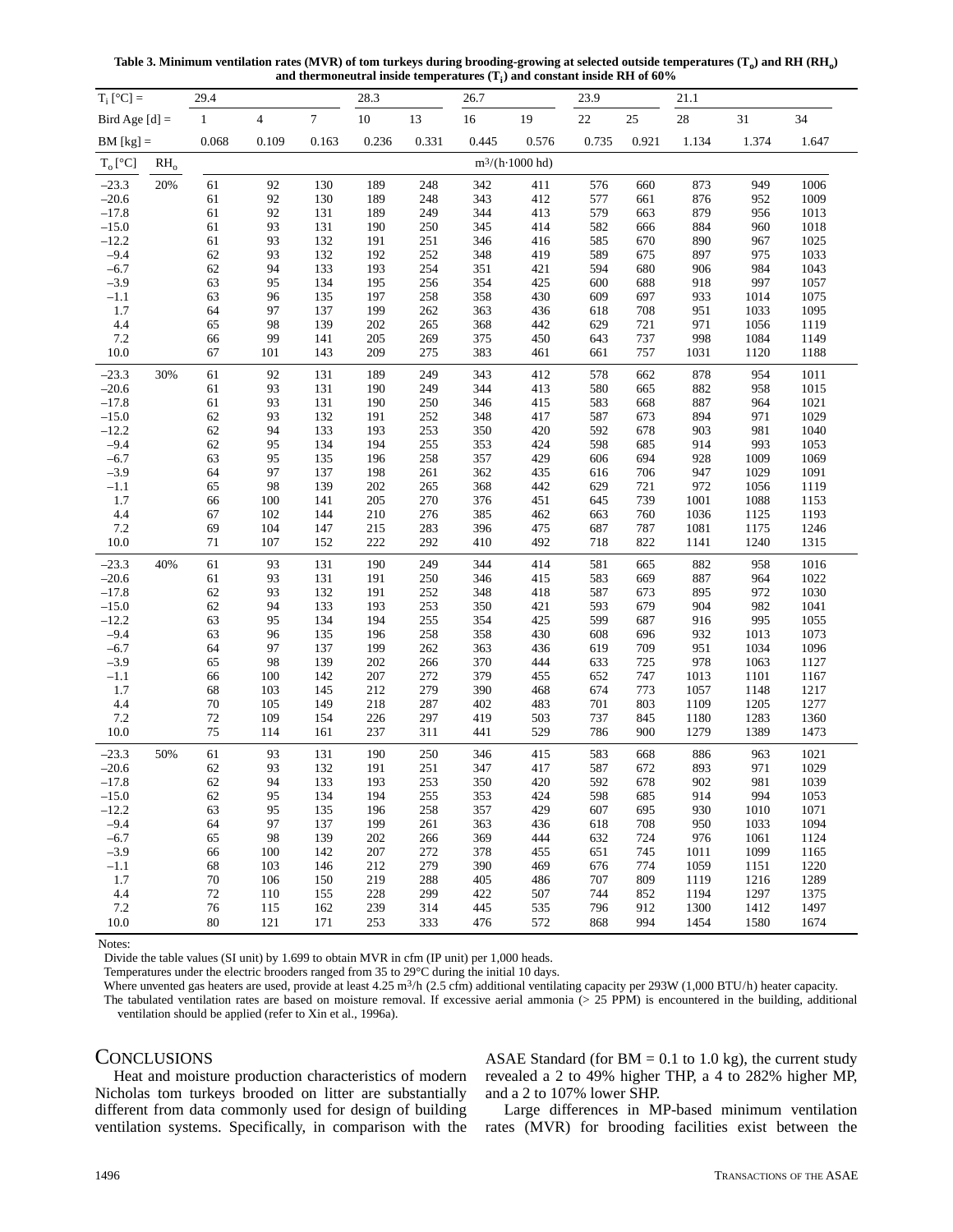Table 3. Minimum ventilation rates (MVR) of tom turkeys during brooding-growing at selected outside temperatures  $(T_0)$  and RH (RH<sub>0</sub>) and thermoneutral inside temperatures  $(T_i)$  and constant inside RH of 60%

| $T_i$ [°C] =       |        | 29.4         |                |                | 28.3       |            | 26.7       |                         | 23.9       |            | 21.1       |            |              |
|--------------------|--------|--------------|----------------|----------------|------------|------------|------------|-------------------------|------------|------------|------------|------------|--------------|
| Bird Age $[d] =$   |        | $\mathbf{1}$ | $\overline{4}$ | $\overline{7}$ | $10\,$     | 13         | $16\,$     | 19                      | $22\,$     | 25         | 28         | 31         | 34           |
| $BM [kg] =$        |        | 0.068        | 0.109          | 0.163          | 0.236      | 0.331      | 0.445      | 0.576                   | 0.735      | 0.921      | 1.134      | 1.374      | 1.647        |
| $T_o[^{\circ}C]$   | $RH_0$ |              |                |                |            |            |            | $m^3/(h \cdot 1000$ hd) |            |            |            |            |              |
| $-23.3$            | 20%    | 61           | 92             | 130            | 189        | 248        | 342        | 411                     | 576        | 660        | 873        | 949        | 1006         |
| $-20.6$            |        | 61           | 92             | 130            | 189        | 248        | 343        | 412                     | 577        | 661        | 876        | 952        | 1009         |
| $-17.8$            |        | 61           | 92             | 131            | 189        | 249        | 344        | 413                     | 579        | 663        | 879        | 956        | 1013         |
| $-15.0$            |        | 61           | 93             | 131            | 190        | 250        | 345        | 414                     | 582        | 666        | 884        | 960        | 1018         |
| $-12.2$            |        | 61           | 93             | 132            | 191        | 251        | 346        | 416                     | 585        | 670        | 890        | 967        | 1025         |
| $-9.4$             |        | 62           | 93             | 132            | 192        | 252        | 348        | 419                     | 589        | 675        | 897        | 975        | 1033         |
| $-6.7$             |        | 62           | 94             | 133            | 193        | 254        | 351        | 421                     | 594        | 680        | 906        | 984        | 1043         |
| $-3.9$             |        | 63           | 95             | 134            | 195        | 256        | 354        | 425                     | 600        | 688        | 918        | 997        | 1057         |
| $-1.1$             |        | 63           | 96             | 135            | 197        | 258        | 358        | 430                     | 609        | 697        | 933        | 1014       | 1075         |
| 1.7                |        | 64           | 97             | 137            | 199        | 262        | 363        | 436                     | 618        | 708        | 951        | 1033       | 1095         |
| 4.4                |        | 65           | 98             | 139            | 202        | 265        | 368        | 442                     | 629        | 721        | 971        | 1056       | 1119         |
| 7.2                |        | 66           | 99             | 141            | 205        | 269        | 375        | 450                     | 643        | 737        | 998        | 1084       | 1149         |
| 10.0               |        | 67           | 101            | 143            | 209        | 275        | 383        | 461                     | 661        | 757        | 1031       | 1120       | 1188         |
| $-23.3$            | 30%    | 61           | 92             | 131            | 189        | 249        | 343        | 412                     | 578        | 662        | 878        | 954        | 1011         |
| $-20.6$            |        | 61           | 93             | 131            | 190        | 249        | 344        | 413                     | 580        | 665        | 882        | 958        | 1015         |
| $-17.8$            |        | 61           | 93             | 131            | 190        | 250        | 346        | 415                     | 583        | 668        | 887        | 964        | 1021         |
| $-15.0$            |        | 62           | 93             | 132            | 191        | 252        | 348        | 417                     | 587        | 673        | 894        | 971        | 1029         |
| $-12.2$            |        | 62           | 94             | 133            | 193        | 253        | 350        | 420                     | 592        | 678        | 903        | 981        | 1040         |
| $-9.4$             |        | 62           | 95             | 134            | 194        | 255        | 353        | 424                     | 598        | 685        | 914        | 993        | 1053         |
| $-6.7$             |        | 63           | 95             | 135            | 196        | 258        | 357        | 429                     | 606        | 694        | 928        | 1009       | 1069         |
| $-3.9$             |        | 64           | 97             | 137            | 198        | 261        | 362        | 435                     | 616        | 706        | 947        | 1029       | 1091         |
| $-1.1$             |        | 65           | 98             | 139            | 202        | 265        | 368        | 442                     | 629        | 721        | 972        | 1056       | 1119         |
| 1.7                |        | 66           | 100            | 141            | 205        | 270        | 376        | 451                     | 645        | 739        | 1001       | 1088       | 1153         |
| 4.4                |        | 67           | 102            | 144            | 210        | 276        | 385        | 462                     | 663        | 760        | 1036       | 1125       | 1193         |
| 7.2                |        | 69           | 104            | 147            | 215        | 283        | 396        | 475                     | 687        | 787        | 1081       | 1175       | 1246         |
| 10.0               |        | $71\,$       | 107            | 152            | 222        | 292        | 410        | 492                     | 718        | 822        | 1141       | 1240       | 1315         |
| $-23.3$            | 40%    | 61           | 93             | 131            | 190        | 249        | 344        | 414                     | 581        | 665        | 882        | 958        | 1016         |
| $-20.6$            |        | 61           | 93             | 131            | 191        | 250        | 346        | 415                     | 583        | 669        | 887        | 964        | 1022         |
| $-17.8$            |        | 62           | 93             | 132            | 191        | 252        | 348        | 418                     | 587        | 673        | 895<br>904 | 972        | 1030         |
| $-15.0$<br>$-12.2$ |        | 62<br>63     | 94<br>95       | 133<br>134     | 193<br>194 | 253<br>255 | 350<br>354 | 421                     | 593<br>599 | 679<br>687 | 916        | 982<br>995 | 1041<br>1055 |
| $-9.4$             |        | 63           | 96             | 135            | 196        | 258        | 358        | 425<br>430              | 608        | 696        | 932        | 1013       | 1073         |
| $-6.7$             |        | 64           | 97             | 137            | 199        | 262        | 363        | 436                     | 619        | 709        | 951        | 1034       | 1096         |
| $-3.9$             |        | 65           | 98             | 139            | 202        | 266        | 370        | 444                     | 633        | 725        | 978        | 1063       | 1127         |
| $-1.1$             |        | 66           | 100            | 142            | 207        | 272        | 379        | 455                     | 652        | 747        | 1013       | 1101       | 1167         |
| 1.7                |        | 68           | 103            | 145            | 212        | 279        | 390        | 468                     | 674        | 773        | 1057       | 1148       | 1217         |
| 4.4                |        | 70           | 105            | 149            | 218        | 287        | 402        | 483                     | 701        | 803        | 1109       | 1205       | 1277         |
| 7.2                |        | 72           | 109            | 154            | 226        | 297        | 419        | 503                     | 737        | 845        | 1180       | 1283       | 1360         |
| 10.0               |        | 75           | 114            | 161            | 237        | 311        | 441        | 529                     | 786        | 900        | 1279       | 1389       | 1473         |
| $-23.3$            | 50%    | 61           | 93             | 131            | 190        | 250        | 346        | 415                     | 583        | 668        | 886        | 963        | 1021         |
| $-20.6$            |        | 62           | 93             | 132            | 191        | 251        | 347        | 417                     | 587        | 672        | 893        | 971        | 1029         |
| $-17.8$            |        | 62           | 94             | 133            | 193        | 253        | 350        | 420                     | 592        | 678        | 902        | 981        | 1039         |
| $-15.0$            |        | 62           | 95             | 134            | 194        | 255        | 353        | 424                     | 598        | 685        | 914        | 994        | 1053         |
| $-12.2$            |        | 63           | 95             | 135            | 196        | 258        | 357        | 429                     | 607        | 695        | 930        | 1010       | 1071         |
| $-9.4$             |        | 64           | 97             | 137            | 199        | 261        | 363        | 436                     | 618        | 708        | 950        | 1033       | 1094         |
| $-6.7$             |        | 65           | 98             | 139            | 202        | 266        | 369        | 444                     | 632        | 724        | 976        | 1061       | 1124         |
| $-3.9$             |        | 66           | 100            | 142            | 207        | 272        | 378        | 455                     | 651        | 745        | 1011       | 1099       | 1165         |
| $-1.1$             |        | 68           | 103            | 146            | 212        | 279        | 390        | 469                     | 676        | 774        | 1059       | 1151       | 1220         |
| 1.7                |        | 70           | 106            | 150            | 219        | 288        | 405        | 486                     | 707        | 809        | 1119       | 1216       | 1289         |
| 4.4                |        | 72           | 110            | 155            | 228        | 299        | 422        | 507                     | 744        | 852        | 1194       | 1297       | 1375         |
| 7.2                |        | 76           | 115            | 162            | 239        | 314        | 445        | 535                     | 796        | 912        | 1300       | 1412       | 1497         |
| 10.0               |        | 80           | 121            | 171            | 253        | 333        | 476        | 572                     | 868        | 994        | 1454       | 1580       | 1674         |

Notes:

Temperatures under the electric brooders ranged from 35 to 29°C during the initial 10 days.

Where unvented gas heaters are used, provide at least 4.25 m<sup>3</sup>/h (2.5 cfm) additional ventilating capacity per 293W (1,000 BTU/h) heater capacity.

The tabulated ventilation rates are based on moisture removal. If excessive aerial ammonia (> 25 PPM) is encountered in the building, additional ventilation should be applied (refer to Xin et al., 1996a).

## **CONCLUSIONS**

Heat and moisture production characteristics of modern Nicholas tom turkeys brooded on litter are substantially different from data commonly used for design of building ventilation systems. Specifically, in comparison with the ASAE Standard (for  $BM = 0.1$  to 1.0 kg), the current study revealed a 2 to 49% higher THP, a 4 to 282% higher MP, and a 2 to 107% lower SHP.

Large differences in MP-based minimum ventilation rates (MVR) for brooding facilities exist between the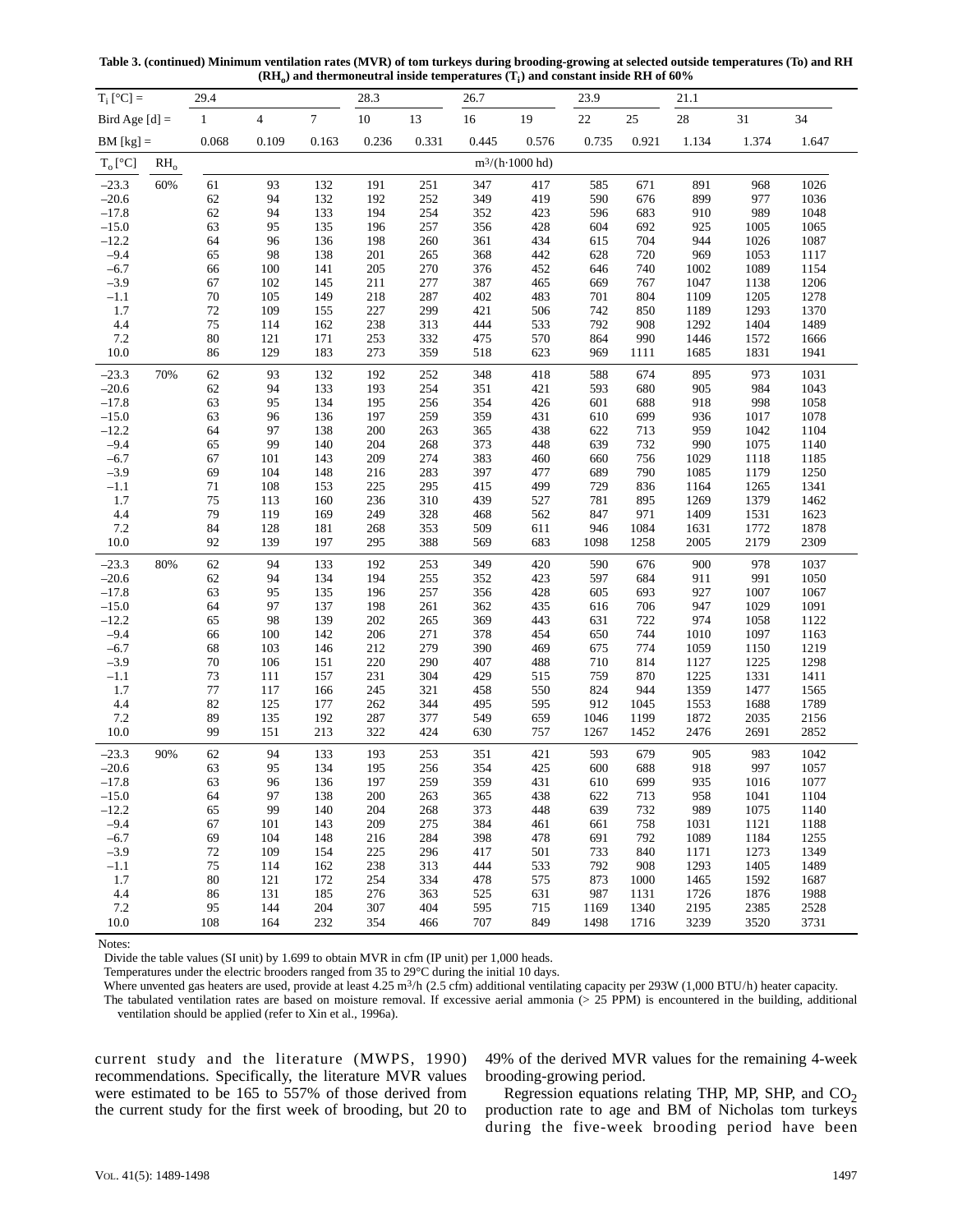**Table 3. (continued) Minimum ventilation rates (MVR) of tom turkeys during brooding-growing at selected outside temperatures (To) and RH**  $(RH<sub>o</sub>)$  and thermoneutral inside temperatures  $(T<sub>i</sub>)$  and constant inside RH of 60%

| $T_i$ [°C] =       |                            | 29.4     |                         |            | 28.3       |            | 26.7       |                         | 23.9       |            | 21.1         |              |              |
|--------------------|----------------------------|----------|-------------------------|------------|------------|------------|------------|-------------------------|------------|------------|--------------|--------------|--------------|
| Bird Age $[d]$ =   |                            | $\,1$    | $\overline{\mathbf{4}}$ | $\tau$     | $10\,$     | 13         | 16         | 19                      | $22\,$     | 25         | $28\,$       | 31           | 34           |
| $BM [kg] =$        |                            | 0.068    | 0.109                   | 0.163      | 0.236      | 0.331      | 0.445      | 0.576                   | 0.735      | 0.921      | 1.134        | 1.374        | 1.647        |
| $T_o[^{\circ}C]$   | $\mathrm{RH}_{\mathrm{o}}$ |          |                         |            |            |            |            | $m^3/(h \cdot 1000$ hd) |            |            |              |              |              |
| $-23.3$            | 60%                        | 61       | 93                      | 132        | 191        | 251        | 347        | 417                     | 585        | 671        | 891          | 968          | 1026         |
| $-20.6$            |                            | 62       | 94                      | 132        | 192        | 252        | 349        | 419                     | 590        | 676        | 899          | 977          | 1036         |
| $-17.8$            |                            | 62       | 94                      | 133        | 194        | 254        | 352        | 423                     | 596        | 683        | 910          | 989          | 1048         |
| $-15.0$            |                            | 63       | 95                      | 135        | 196        | 257        | 356        | 428                     | 604        | 692        | 925          | 1005         | 1065         |
| $-12.2$            |                            | 64       | 96                      | 136        | 198        | 260        | 361        | 434                     | 615        | 704        | 944          | 1026         | 1087         |
| $-9.4$             |                            | 65       | 98                      | 138        | 201        | 265        | 368        | 442                     | 628        | 720        | 969          | 1053         | 1117         |
| $-6.7$             |                            | 66       | 100                     | 141        | 205        | 270        | 376        | 452                     | 646        | 740        | 1002         | 1089         | 1154         |
| $-3.9$             |                            | 67       | 102                     | 145        | 211        | 277        | 387        | 465                     | 669        | 767        | 1047         | 1138         | 1206         |
| $-1.1$             |                            | $70\,$   | 105                     | 149        | 218        | 287        | 402        | 483                     | 701        | 804        | 1109         | 1205         | 1278         |
| 1.7                |                            | $72\,$   | 109                     | 155        | 227        | 299        | 421        | 506                     | 742        | 850        | 1189         | 1293         | 1370         |
| 4.4                |                            | 75       | 114                     | 162        | 238        | 313        | 444        | 533                     | 792        | 908        | 1292         | 1404         | 1489         |
| 7.2                |                            | $80\,$   | 121                     | 171        | 253        | 332        | 475        | 570                     | 864        | 990        | 1446         | 1572         | 1666         |
| 10.0               |                            | 86       | 129                     | 183        | 273        | 359        | 518        | 623                     | 969        | 1111       | 1685         | 1831         | 1941         |
| $-23.3$            | 70%                        | 62       | 93                      | 132        | 192        | 252        | 348        | 418                     | 588        | 674        | 895          | 973          | 1031         |
| $-20.6$            |                            | 62       | 94                      | 133        | 193        | 254        | 351        | 421                     | 593        | 680        | 905          | 984          | 1043         |
| $-17.8$            |                            | 63       | 95                      | 134        | 195        | 256        | 354        | 426                     | 601        | 688        | 918          | 998          | 1058         |
| $-15.0$            |                            | 63       | 96                      | 136        | 197        | 259        | 359        | 431                     | 610        | 699        | 936          | 1017         | 1078         |
| $-12.2$            |                            | 64       | 97                      | 138        | 200        | 263        | 365        | 438                     | 622        | 713        | 959          | 1042         | 1104         |
| $-9.4$             |                            | 65       | 99                      | 140        | 204        | 268        | 373        | 448                     | 639        | 732        | 990          | 1075         | 1140         |
| $-6.7$             |                            | 67       | 101                     | 143        | 209        | 274        | 383        | 460                     | 660        | 756        | 1029         | 1118         | 1185         |
| $-3.9$             |                            | 69       | 104                     | 148        | 216        | 283        | 397        | 477                     | 689        | 790        | 1085         | 1179         | 1250         |
| $-1.1$             |                            | $71\,$   | 108                     | 153        | 225        | 295        | 415        | 499                     | 729        | 836        | 1164         | 1265         | 1341         |
| 1.7                |                            | $75\,$   | 113                     | 160        | 236        | 310        | 439        | 527                     | 781        | 895        | 1269         | 1379         | 1462         |
| 4.4                |                            | 79       | 119                     | 169        | 249        | 328        | 468        | 562                     | 847        | 971        | 1409         | 1531         | 1623         |
| 7.2                |                            | 84       | 128                     | 181        | 268        | 353        | 509        | 611                     | 946        | 1084       | 1631         | 1772         | 1878         |
| 10.0               |                            | 92       | 139                     | 197        | 295        | 388        | 569        | 683                     | 1098       | 1258       | 2005         | 2179         | 2309         |
| $-23.3$            | 80%                        | 62       | 94                      | 133        | 192        | 253        | 349        | 420                     | 590        | 676        | 900          | 978          | 1037         |
| $-20.6$            |                            | 62       | 94                      | 134        | 194        | 255        | 352        | 423                     | 597        | 684        | 911          | 991          | 1050         |
| $-17.8$            |                            | 63       | 95                      | 135        | 196        | 257        | 356        | 428                     | 605        | 693        | 927          | 1007         | 1067         |
| $-15.0$            |                            | 64       | 97                      | 137        | 198        | 261        | 362        | 435                     | 616        | 706        | 947          | 1029         | 1091         |
| $-12.2$            |                            | 65       | 98                      | 139        | 202        | 265        | 369        | 443                     | 631        | 722        | 974          | 1058         | 1122         |
| $-9.4$             |                            | 66       | 100                     | 142        | 206        | 271        | 378        | 454                     | 650        | 744        | 1010         | 1097         | 1163         |
| $-6.7$             |                            | 68       | 103                     | 146        | 212        | 279        | 390        | 469                     | 675        | 774        | 1059         | 1150         | 1219         |
| $-3.9$             |                            | $70\,$   | 106                     | 151        | 220        | 290        | 407        | 488                     | 710        | 814        | 1127         | 1225         | 1298         |
| $-1.1$             |                            | $73\,$   | 111                     | 157        | 231        | 304        | 429        | 515                     | 759        | 870        | 1225         | 1331         | 1411         |
| 1.7                |                            | $77\,$   | 117                     | 166        | 245        | 321        | 458        | 550                     | 824        | 944        | 1359         | 1477         | 1565         |
| 4.4                |                            | 82       | 125                     | 177        | 262        | 344        | 495        | 595                     | 912        | 1045       | 1553         | 1688         | 1789         |
| 7.2                |                            | 89       | 135                     | 192        | 287        | 377        | 549        | 659                     | 1046       | 1199       | 1872         | 2035         | 2156         |
| 10.0               |                            | 99       | 151                     | 213        | 322        | 424        | 630        | 757                     | 1267       | 1452       | 2476         | 2691         | 2852         |
| $-23.3$<br>$-20.6$ | 90%                        | 62<br>63 | 94<br>95                | 133<br>134 | 193<br>195 | 253<br>256 | 351<br>354 | 421<br>425              | 593<br>600 | 679<br>688 | 905<br>918   | 983<br>997   | 1042<br>1057 |
|                    |                            |          |                         |            | 197        |            |            | 431                     |            |            |              |              |              |
| $-17.8$            |                            | 63       | 96                      | 136        |            | 259        | 359        |                         | 610        | 699        | 935          | 1016         | 1077         |
| $-15.0$            |                            | 64       | 97                      | 138        | 200        | 263        | 365        | 438                     | 622        | 713        | 958          | 1041         | 1104         |
| $-12.2$<br>$-9.4$  |                            | 65       | 99                      | 140        | 204        | 268        | 373<br>384 | 448                     | 639        | 732        | 989          | 1075         | 1140         |
|                    |                            | 67       | 101                     | 143        | 209        | 275        |            | 461                     | 661        | 758        | 1031         | 1121         | 1188         |
| $-6.7$             |                            | 69       | 104<br>109              | 148        | 216        | 284        | 398        | 478                     | 691        | 792        | 1089         | 1184         | 1255<br>1349 |
| $-3.9$             |                            | 72       |                         | 154        | 225        | 296        | 417        | 501                     | 733<br>792 | 840        | 1171<br>1293 | 1273<br>1405 |              |
| $-1.1$             |                            | 75       | 114                     | 162        | 238        | 313        | 444        | 533                     |            | 908        |              |              | 1489         |
| 1.7                |                            | 80       | 121                     | 172        | 254        | 334        | 478        | 575                     | 873        | 1000       | 1465         | 1592         | 1687         |
| 4.4                |                            | 86       | 131                     | 185        | 276        | 363        | 525        | 631                     | 987        | 1131       | 1726         | 1876         | 1988         |
| 7.2                |                            | 95       | 144                     | 204        | 307        | 404        | 595        | 715                     | 1169       | 1340       | 2195         | 2385         | 2528         |
| 10.0               |                            | 108      | 164                     | 232        | 354        | 466        | 707        | 849                     | 1498       | 1716       | 3239         | 3520         | 3731         |

Notes:

Temperatures under the electric brooders ranged from 35 to 29°C during the initial 10 days.

Where unvented gas heaters are used, provide at least 4.25 m<sup>3</sup>/h (2.5 cfm) additional ventilating capacity per 293W (1,000 BTU/h) heater capacity.

The tabulated ventilation rates are based on moisture removal. If excessive aerial ammonia (> 25 PPM) is encountered in the building, additional ventilation should be applied (refer to Xin et al., 1996a).

current study and the literature (MWPS, 1990) recommendations. Specifically, the literature MVR values were estimated to be 165 to 557% of those derived from the current study for the first week of brooding, but 20 to 49% of the derived MVR values for the remaining 4-week brooding-growing period.

Regression equations relating THP, MP, SHP, and  $CO<sub>2</sub>$ production rate to age and BM of Nicholas tom turkeys during the five-week brooding period have been